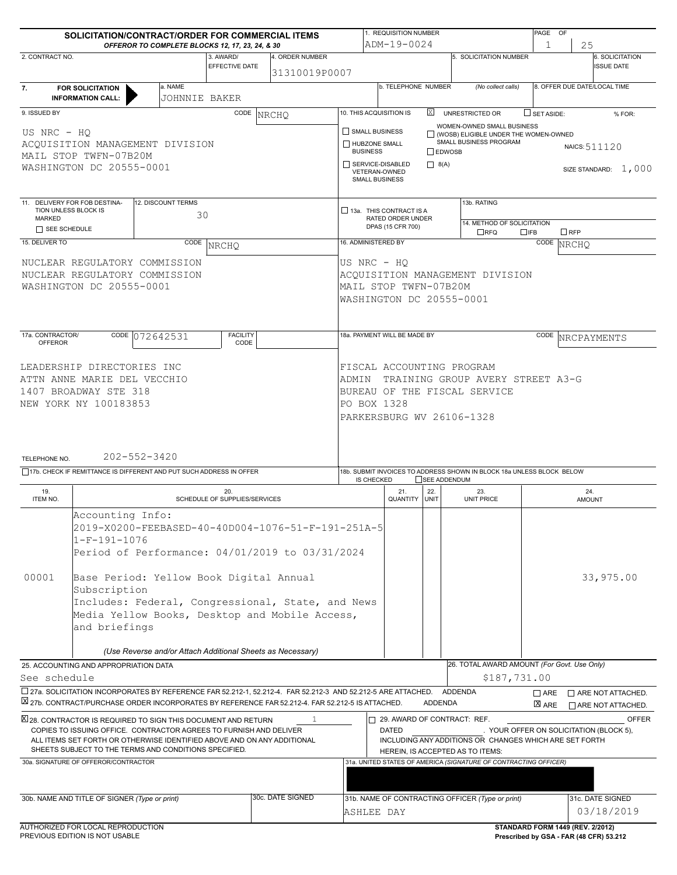| SOLICITATION/CONTRACT/ORDER FOR COMMERCIAL ITEMS<br>OFFEROR TO COMPLETE BLOCKS 12, 17, 23, 24, & 30                                                                                                                                                                                                               |                                                                                                                                                                                                                                                                                                                                                                                             |                                                                     |                                      |                  |                                                                                                                                                                                                                             |                                                                                                                                                                                                                                                                                                     | 1. REQUISITION NUMBER<br>PAGE OF<br>ADM-19-0024 |                    |                                                  |                   |                      |                                |
|-------------------------------------------------------------------------------------------------------------------------------------------------------------------------------------------------------------------------------------------------------------------------------------------------------------------|---------------------------------------------------------------------------------------------------------------------------------------------------------------------------------------------------------------------------------------------------------------------------------------------------------------------------------------------------------------------------------------------|---------------------------------------------------------------------|--------------------------------------|------------------|-----------------------------------------------------------------------------------------------------------------------------------------------------------------------------------------------------------------------------|-----------------------------------------------------------------------------------------------------------------------------------------------------------------------------------------------------------------------------------------------------------------------------------------------------|-------------------------------------------------|--------------------|--------------------------------------------------|-------------------|----------------------|--------------------------------|
| 2. CONTRACT NO.                                                                                                                                                                                                                                                                                                   |                                                                                                                                                                                                                                                                                                                                                                                             |                                                                     | 3. AWARD/                            | 4. ORDER NUMBER  |                                                                                                                                                                                                                             |                                                                                                                                                                                                                                                                                                     |                                                 |                    | 5. SOLICITATION NUMBER                           | 1                 | 25                   | 6. SOLICITATION                |
|                                                                                                                                                                                                                                                                                                                   |                                                                                                                                                                                                                                                                                                                                                                                             |                                                                     | EFFECTIVE DATE                       | 31310019P0007    |                                                                                                                                                                                                                             |                                                                                                                                                                                                                                                                                                     |                                                 |                    |                                                  |                   |                      | <b>ISSUE DATE</b>              |
| 7.                                                                                                                                                                                                                                                                                                                | <b>FOR SOLICITATION</b><br><b>INFORMATION CALL:</b>                                                                                                                                                                                                                                                                                                                                         | a. NAME<br>JOHNNIE BAKER                                            |                                      |                  |                                                                                                                                                                                                                             |                                                                                                                                                                                                                                                                                                     | b. TELEPHONE NUMBER                             |                    | (No collect calls)                               |                   |                      | 8. OFFER DUE DATE/LOCAL TIME   |
| 9. ISSUED BY                                                                                                                                                                                                                                                                                                      |                                                                                                                                                                                                                                                                                                                                                                                             |                                                                     | CODE                                 | NRCHO            |                                                                                                                                                                                                                             | 10. THIS ACQUISITION IS                                                                                                                                                                                                                                                                             |                                                 | X                  | UNRESTRICTED OR                                  | $\Box$ SET ASIDE: |                      | % FOR:                         |
| US NRC - HO<br>ACOUISITION MANAGEMENT DIVISION<br>MAIL STOP TWFN-07B20M<br>WASHINGTON DC 20555-0001                                                                                                                                                                                                               |                                                                                                                                                                                                                                                                                                                                                                                             |                                                                     |                                      |                  |                                                                                                                                                                                                                             | WOMEN-OWNED SMALL BUSINESS<br>SMALL BUSINESS<br>$\Box$ (WOSB) ELIGIBLE UNDER THE WOMEN-OWNED<br>SMALL BUSINESS PROGRAM<br>HUBZONE SMALL<br>NAICS: 511120<br><b>BUSINESS</b><br>$\Box$ EDWOSB<br>SERVICE-DISABLED<br>$\Box$ 8(A)<br>SIZE STANDARD: $1,000$<br>VETERAN-OWNED<br><b>SMALL BUSINESS</b> |                                                 |                    |                                                  |                   |                      |                                |
|                                                                                                                                                                                                                                                                                                                   | 11. DELIVERY FOR FOB DESTINA-                                                                                                                                                                                                                                                                                                                                                               | 12. DISCOUNT TERMS                                                  |                                      |                  |                                                                                                                                                                                                                             |                                                                                                                                                                                                                                                                                                     |                                                 |                    | 13b. RATING                                      |                   |                      |                                |
| <b>MARKED</b><br>SEE SCHEDULE                                                                                                                                                                                                                                                                                     | TION UNLESS BLOCK IS                                                                                                                                                                                                                                                                                                                                                                        | 30                                                                  |                                      |                  |                                                                                                                                                                                                                             | $\Box$ 13a. THIS CONTRACT IS A<br>RATED ORDER UNDER<br>14. METHOD OF SOLICITATION<br>DPAS (15 CFR 700)<br>$\Box$ RFP<br>$\Box$ iFB<br>$\Box$ RFQ                                                                                                                                                    |                                                 |                    |                                                  |                   |                      |                                |
| 15. DELIVER TO                                                                                                                                                                                                                                                                                                    |                                                                                                                                                                                                                                                                                                                                                                                             | CODE                                                                | <b>NRCHO</b>                         |                  |                                                                                                                                                                                                                             | 16. ADMINISTERED BY                                                                                                                                                                                                                                                                                 |                                                 |                    |                                                  | CODE              | NRCHO                |                                |
| NUCLEAR REGULATORY COMMISSION<br>NUCLEAR REGULATORY COMMISSION<br>WASHINGTON DC 20555-0001                                                                                                                                                                                                                        |                                                                                                                                                                                                                                                                                                                                                                                             |                                                                     |                                      |                  |                                                                                                                                                                                                                             | US NRC - HO<br>ACOUISITION MANAGEMENT DIVISION<br>MAIL STOP TWFN-07B20M<br>WASHINGTON DC 20555-0001                                                                                                                                                                                                 |                                                 |                    |                                                  |                   |                      |                                |
| 17a. CONTRACTOR/                                                                                                                                                                                                                                                                                                  | CODE                                                                                                                                                                                                                                                                                                                                                                                        | 1072642531                                                          | <b>FACILITY</b>                      |                  |                                                                                                                                                                                                                             |                                                                                                                                                                                                                                                                                                     | 18a. PAYMENT WILL BE MADE BY                    |                    |                                                  | CODE              |                      | NRCPAYMENTS                    |
| CODE<br><b>OFFEROR</b><br>LEADERSHIP DIRECTORIES INC<br>ATTN ANNE MARIE DEL VECCHIO<br>1407 BROADWAY STE 318<br>NEW YORK NY 100183853<br>202-552-3420<br>TELEPHONE NO.                                                                                                                                            |                                                                                                                                                                                                                                                                                                                                                                                             |                                                                     |                                      |                  | FISCAL ACCOUNTING PROGRAM<br>ADMIN<br>TRAINING GROUP AVERY STREET A3-G<br>BUREAU OF THE FISCAL SERVICE<br>PO BOX 1328<br>PARKERSBURG WV 26106-1328<br>18b. SUBMIT INVOICES TO ADDRESS SHOWN IN BLOCK 18a UNLESS BLOCK BELOW |                                                                                                                                                                                                                                                                                                     |                                                 |                    |                                                  |                   |                      |                                |
|                                                                                                                                                                                                                                                                                                                   |                                                                                                                                                                                                                                                                                                                                                                                             | 17b. CHECK IF REMITTANCE IS DIFFERENT AND PUT SUCH ADDRESS IN OFFER |                                      |                  |                                                                                                                                                                                                                             | <b>IS CHECKED</b>                                                                                                                                                                                                                                                                                   |                                                 | SEE ADDENDUM       |                                                  |                   |                      |                                |
| 19.<br><b>ITEM NO.</b>                                                                                                                                                                                                                                                                                            |                                                                                                                                                                                                                                                                                                                                                                                             |                                                                     | 20.<br>SCHEDULE OF SUPPLIES/SERVICES |                  |                                                                                                                                                                                                                             |                                                                                                                                                                                                                                                                                                     | 21.<br>QUANTITY                                 | 22.<br><b>UNIT</b> | 23.<br><b>UNIT PRICE</b>                         |                   | 24.<br><b>AMOUNT</b> |                                |
| 00001                                                                                                                                                                                                                                                                                                             | Accounting Info:<br>2019-X0200-FEEBASED-40-40D004-1076-51-F-191-251A-5<br>l1-F-191-1076<br>Period of Performance: 04/01/2019 to 03/31/2024<br>Base Period: Yellow Book Digital Annual<br>Subscription<br>Includes: Federal, Congressional, State, and News<br>Media Yellow Books, Desktop and Mobile Access,<br>and briefings<br>(Use Reverse and/or Attach Additional Sheets as Necessary) |                                                                     |                                      |                  |                                                                                                                                                                                                                             |                                                                                                                                                                                                                                                                                                     |                                                 |                    |                                                  | 33,975.00         |                      |                                |
| 25. ACCOUNTING AND APPROPRIATION DATA                                                                                                                                                                                                                                                                             |                                                                                                                                                                                                                                                                                                                                                                                             |                                                                     |                                      |                  |                                                                                                                                                                                                                             |                                                                                                                                                                                                                                                                                                     |                                                 |                    | 26. TOTAL AWARD AMOUNT (For Govt. Use Only)      |                   |                      |                                |
| See schedule                                                                                                                                                                                                                                                                                                      |                                                                                                                                                                                                                                                                                                                                                                                             |                                                                     |                                      |                  |                                                                                                                                                                                                                             |                                                                                                                                                                                                                                                                                                     |                                                 |                    | \$187,731.00                                     |                   |                      |                                |
| □ 27a. SOLICITATION INCORPORATES BY REFERENCE FAR 52.212-1, 52.212-4. FAR 52.212-3 AND 52.212-5 ARE ATTACHED.<br>ADDENDA<br>$\Box$ ARE<br>ARE NOT ATTACHED.<br>X 27b. CONTRACT/PURCHASE ORDER INCORPORATES BY REFERENCE FAR 52.212-4. FAR 52.212-5 IS ATTACHED.<br><b>ADDENDA</b><br>$X$ ARE<br>ARE NOT ATTACHED. |                                                                                                                                                                                                                                                                                                                                                                                             |                                                                     |                                      |                  |                                                                                                                                                                                                                             |                                                                                                                                                                                                                                                                                                     |                                                 |                    |                                                  |                   |                      |                                |
| $\boxtimes$ 28. CONTRACTOR IS REQUIRED TO SIGN THIS DOCUMENT AND RETURN<br>1<br>COPIES TO ISSUING OFFICE. CONTRACTOR AGREES TO FURNISH AND DELIVER<br>ALL ITEMS SET FORTH OR OTHERWISE IDENTIFIED ABOVE AND ON ANY ADDITIONAL<br>SHEETS SUBJECT TO THE TERMS AND CONDITIONS SPECIFIED.                            |                                                                                                                                                                                                                                                                                                                                                                                             |                                                                     |                                      |                  |                                                                                                                                                                                                                             | 29. AWARD OF CONTRACT: REF.<br><b>OFFER</b><br><b>DATED</b><br>. YOUR OFFER ON SOLICITATION (BLOCK 5),<br>INCLUDING ANY ADDITIONS OR CHANGES WHICH ARE SET FORTH<br>HEREIN, IS ACCEPTED AS TO ITEMS:                                                                                                |                                                 |                    |                                                  |                   |                      |                                |
| 30a. SIGNATURE OF OFFEROR/CONTRACTOR                                                                                                                                                                                                                                                                              |                                                                                                                                                                                                                                                                                                                                                                                             |                                                                     |                                      |                  |                                                                                                                                                                                                                             | 31a. UNITED STATES OF AMERICA (SIGNATURE OF CONTRACTING OFFICER)                                                                                                                                                                                                                                    |                                                 |                    |                                                  |                   |                      |                                |
|                                                                                                                                                                                                                                                                                                                   | 30b. NAME AND TITLE OF SIGNER (Type or print)                                                                                                                                                                                                                                                                                                                                               |                                                                     |                                      | 30c. DATE SIGNED |                                                                                                                                                                                                                             | ASHLEE DAY                                                                                                                                                                                                                                                                                          |                                                 |                    | 31b. NAME OF CONTRACTING OFFICER (Type or print) |                   |                      | 31c. DATE SIGNED<br>03/18/2019 |
|                                                                                                                                                                                                                                                                                                                   |                                                                                                                                                                                                                                                                                                                                                                                             |                                                                     |                                      |                  |                                                                                                                                                                                                                             |                                                                                                                                                                                                                                                                                                     |                                                 |                    |                                                  |                   |                      |                                |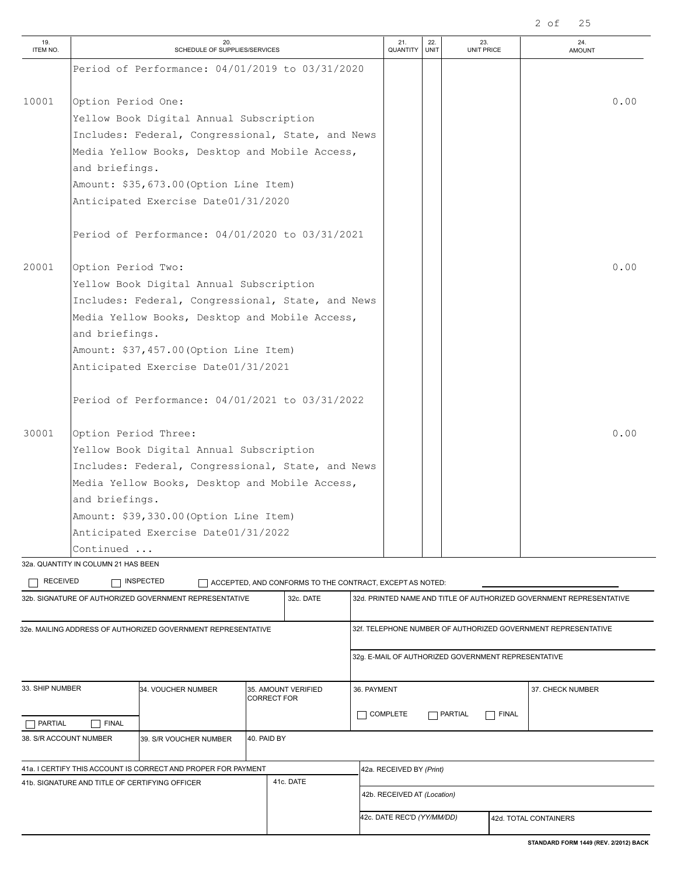| 19.<br><b>ITEM NO.</b> | 20.<br>SCHEDULE OF SUPPLIES/SERVICES              | 21.<br>QUANTITY | 22.<br><b>UNIT</b> | 23.<br>UNIT PRICE | 24.<br><b>AMOUNT</b> |
|------------------------|---------------------------------------------------|-----------------|--------------------|-------------------|----------------------|
|                        | Period of Performance: 04/01/2019 to 03/31/2020   |                 |                    |                   |                      |
|                        |                                                   |                 |                    |                   |                      |
| 10001                  | Option Period One:                                |                 |                    |                   | 0.00                 |
|                        | Yellow Book Digital Annual Subscription           |                 |                    |                   |                      |
|                        | Includes: Federal, Congressional, State, and News |                 |                    |                   |                      |
|                        | Media Yellow Books, Desktop and Mobile Access,    |                 |                    |                   |                      |
|                        | and briefings.                                    |                 |                    |                   |                      |
|                        | Amount: \$35,673.00 (Option Line Item)            |                 |                    |                   |                      |
|                        | Anticipated Exercise Date01/31/2020               |                 |                    |                   |                      |
|                        | Period of Performance: 04/01/2020 to 03/31/2021   |                 |                    |                   |                      |
| 20001                  | Option Period Two:                                |                 |                    |                   | 0.00                 |
|                        | Yellow Book Digital Annual Subscription           |                 |                    |                   |                      |
|                        | Includes: Federal, Congressional, State, and News |                 |                    |                   |                      |
|                        | Media Yellow Books, Desktop and Mobile Access,    |                 |                    |                   |                      |
|                        | and briefings.                                    |                 |                    |                   |                      |
|                        | Amount: \$37,457.00 (Option Line Item)            |                 |                    |                   |                      |
|                        | Anticipated Exercise Date01/31/2021               |                 |                    |                   |                      |
|                        | Period of Performance: 04/01/2021 to 03/31/2022   |                 |                    |                   |                      |
| 30001                  | Option Period Three:                              |                 |                    |                   | 0.00                 |
|                        | Yellow Book Digital Annual Subscription           |                 |                    |                   |                      |
|                        | Includes: Federal, Congressional, State, and News |                 |                    |                   |                      |
|                        | Media Yellow Books, Desktop and Mobile Access,    |                 |                    |                   |                      |
|                        | and briefings.                                    |                 |                    |                   |                      |
|                        | Amount: \$39,330.00 (Option Line Item)            |                 |                    |                   |                      |
|                        | Anticipated Exercise Date01/31/2022               |                 |                    |                   |                      |
|                        | Continued                                         |                 |                    |                   |                      |

32a. QUANTITY IN COLUMN 21 HAS BEEN

 $\Box$  ACCEPTED, AND CONFORMS TO THE CONTRACT, EXCEPT AS NOTED: RECEIVED INSPECTED

|                                                                 | 32b. SIGNATURE OF AUTHORIZED GOVERNMENT REPRESENTATIVE        |                    |                                                               | 32d. PRINTED NAME AND TITLE OF AUTHORIZED GOVERNMENT REPRESENTATIVE |              |                       |  |  |  |
|-----------------------------------------------------------------|---------------------------------------------------------------|--------------------|---------------------------------------------------------------|---------------------------------------------------------------------|--------------|-----------------------|--|--|--|
|                                                                 | 32e. MAILING ADDRESS OF AUTHORIZED GOVERNMENT REPRESENTATIVE  |                    | 32f. TELEPHONE NUMBER OF AUTHORIZED GOVERNMENT REPRESENTATIVE |                                                                     |              |                       |  |  |  |
|                                                                 |                                                               |                    |                                                               | 32g. E-MAIL OF AUTHORIZED GOVERNMENT REPRESENTATIVE                 |              |                       |  |  |  |
| 33. SHIP NUMBER                                                 | 34. VOUCHER NUMBER                                            | <b>CORRECT FOR</b> | <b>35. AMOUNT VERIFIED</b>                                    | 36. PAYMENT                                                         |              |                       |  |  |  |
| <b>FINAL</b><br>PARTIAL                                         |                                                               |                    |                                                               | COMPLETE<br>$\neg$ PARTIAL                                          | <b>FINAL</b> |                       |  |  |  |
| 38. S/R ACCOUNT NUMBER<br>40. PAID BY<br>39. S/R VOUCHER NUMBER |                                                               |                    |                                                               |                                                                     |              |                       |  |  |  |
|                                                                 | 41a. I CERTIFY THIS ACCOUNT IS CORRECT AND PROPER FOR PAYMENT |                    | 42a. RECEIVED BY (Print)                                      |                                                                     |              |                       |  |  |  |
| 41b. SIGNATURE AND TITLE OF CERTIFYING OFFICER                  |                                                               | 41c. DATE          |                                                               |                                                                     |              |                       |  |  |  |
|                                                                 |                                                               |                    |                                                               | 42b. RECEIVED AT (Location)                                         |              |                       |  |  |  |
|                                                                 |                                                               |                    |                                                               | 42c. DATE REC'D (YY/MM/DD)                                          |              | 42d. TOTAL CONTAINERS |  |  |  |

**STANDARD FORM 1449 (REV. 2/2012) BACK**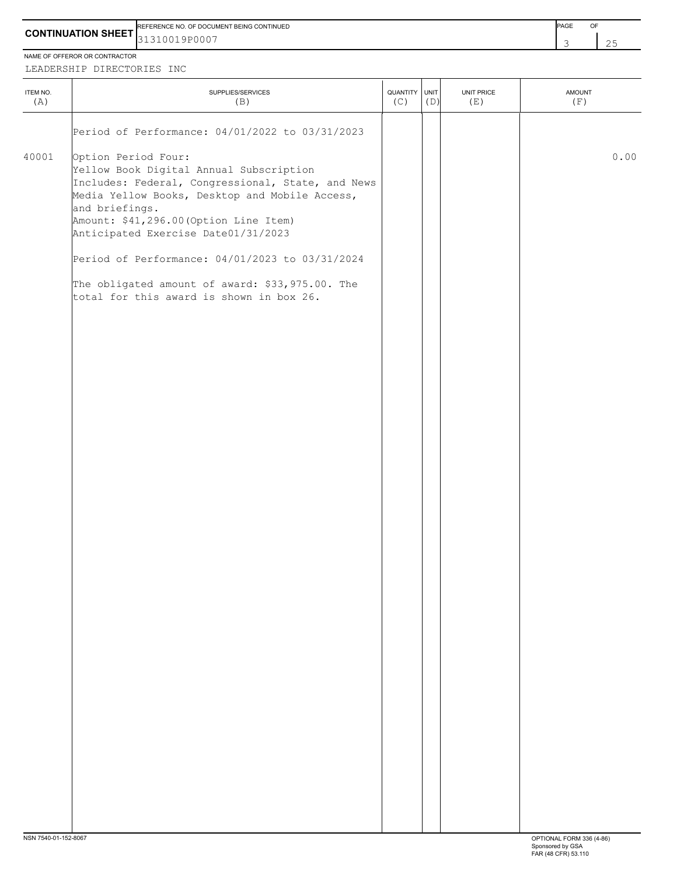|                                                | <b>PAGE</b><br><b>REFERENCE NO. OF DOCUMENT BEING CONTINUED</b> |  |  |  |  |  |
|------------------------------------------------|-----------------------------------------------------------------|--|--|--|--|--|
| CONTINUATION SHEET $ _{31310019 \text{P}0007}$ |                                                                 |  |  |  |  |  |

NAME OF OFFEROR OR CONTRACTOR

LEADERSHIP DIRECTORIES INC

| ITEM NO.<br>(A)      | SUPPLIES/SERVICES<br>(B)                                                                                                                                                                                                                                                 | QUANTITY UNIT<br>(C) | (D) | UNIT PRICE<br>(E) | AMOUNT<br>(F)                                                       |
|----------------------|--------------------------------------------------------------------------------------------------------------------------------------------------------------------------------------------------------------------------------------------------------------------------|----------------------|-----|-------------------|---------------------------------------------------------------------|
|                      | Period of Performance: 04/01/2022 to 03/31/2023                                                                                                                                                                                                                          |                      |     |                   |                                                                     |
| 40001                | Option Period Four:<br>Yellow Book Digital Annual Subscription<br>Includes: Federal, Congressional, State, and News<br>Media Yellow Books, Desktop and Mobile Access,<br>and briefings.<br>Amount: \$41,296.00 (Option Line Item)<br>Anticipated Exercise Date01/31/2023 |                      |     |                   | 0.00                                                                |
|                      | Period of Performance: 04/01/2023 to 03/31/2024<br>The obligated amount of award: \$33,975.00. The<br>total for this award is shown in box 26.                                                                                                                           |                      |     |                   |                                                                     |
|                      |                                                                                                                                                                                                                                                                          |                      |     |                   |                                                                     |
|                      |                                                                                                                                                                                                                                                                          |                      |     |                   |                                                                     |
|                      |                                                                                                                                                                                                                                                                          |                      |     |                   |                                                                     |
|                      |                                                                                                                                                                                                                                                                          |                      |     |                   |                                                                     |
|                      |                                                                                                                                                                                                                                                                          |                      |     |                   |                                                                     |
|                      |                                                                                                                                                                                                                                                                          |                      |     |                   |                                                                     |
|                      |                                                                                                                                                                                                                                                                          |                      |     |                   |                                                                     |
|                      |                                                                                                                                                                                                                                                                          |                      |     |                   |                                                                     |
|                      |                                                                                                                                                                                                                                                                          |                      |     |                   |                                                                     |
|                      |                                                                                                                                                                                                                                                                          |                      |     |                   |                                                                     |
|                      |                                                                                                                                                                                                                                                                          |                      |     |                   |                                                                     |
|                      |                                                                                                                                                                                                                                                                          |                      |     |                   |                                                                     |
| NSN 7540-01-152-8067 |                                                                                                                                                                                                                                                                          |                      |     |                   | OPTIONAL FORM 336 (4-86)<br>Sponsored by GSA<br>FAR (48 CFR) 53.110 |

3 25

┱

T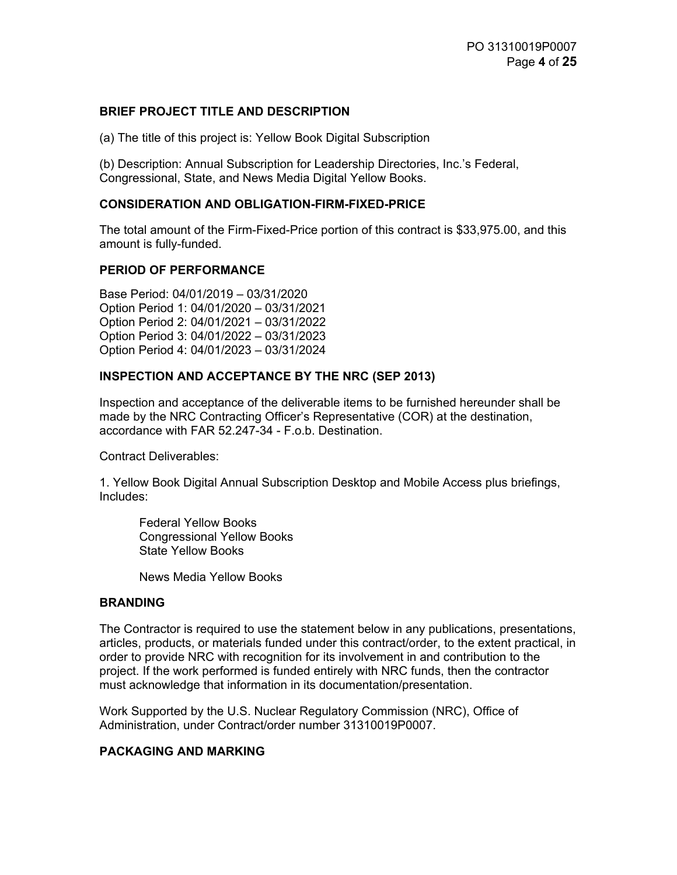## **BRIEF PROJECT TITLE AND DESCRIPTION**

(a) The title of this project is: Yellow Book Digital Subscription

(b) Description: Annual Subscription for Leadership Directories, Inc.'s Federal, Congressional, State, and News Media Digital Yellow Books.

### **CONSIDERATION AND OBLIGATION-FIRM-FIXED-PRICE**

The total amount of the Firm-Fixed-Price portion of this contract is \$33,975.00, and this amount is fully-funded.

# **PERIOD OF PERFORMANCE**

Base Period: 04/01/2019 – 03/31/2020 Option Period 1: 04/01/2020 – 03/31/2021 Option Period 2: 04/01/2021 – 03/31/2022 Option Period 3: 04/01/2022 – 03/31/2023 Option Period 4: 04/01/2023 – 03/31/2024

# **INSPECTION AND ACCEPTANCE BY THE NRC (SEP 2013)**

Inspection and acceptance of the deliverable items to be furnished hereunder shall be made by the NRC Contracting Officer's Representative (COR) at the destination, accordance with FAR 52.247-34 - F.o.b. Destination.

Contract Deliverables:

1. Yellow Book Digital Annual Subscription Desktop and Mobile Access plus briefings, Includes:

Federal Yellow Books Congressional Yellow Books State Yellow Books

News Media Yellow Books

### **BRANDING**

The Contractor is required to use the statement below in any publications, presentations, articles, products, or materials funded under this contract/order, to the extent practical, in order to provide NRC with recognition for its involvement in and contribution to the project. If the work performed is funded entirely with NRC funds, then the contractor must acknowledge that information in its documentation/presentation.

Work Supported by the U.S. Nuclear Regulatory Commission (NRC), Office of Administration, under Contract/order number 31310019P0007.

### **PACKAGING AND MARKING**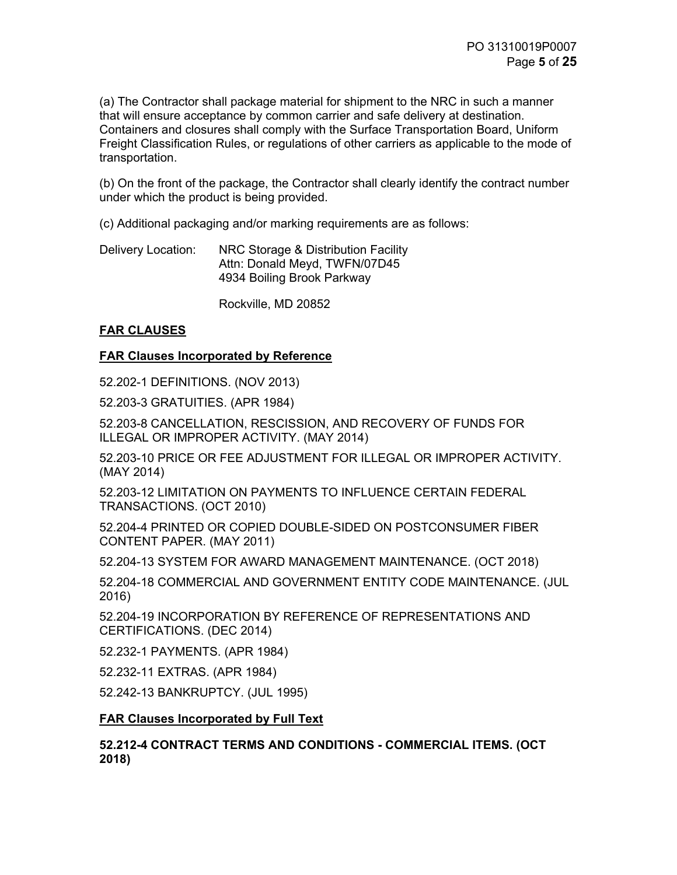(a) The Contractor shall package material for shipment to the NRC in such a manner that will ensure acceptance by common carrier and safe delivery at destination. Containers and closures shall comply with the Surface Transportation Board, Uniform Freight Classification Rules, or regulations of other carriers as applicable to the mode of transportation.

(b) On the front of the package, the Contractor shall clearly identify the contract number under which the product is being provided.

(c) Additional packaging and/or marking requirements are as follows:

Delivery Location: NRC Storage & Distribution Facility Attn: Donald Meyd, TWFN/07D45 4934 Boiling Brook Parkway

Rockville, MD 20852

# **FAR CLAUSES**

# **FAR Clauses Incorporated by Reference**

52.202-1 DEFINITIONS. (NOV 2013)

52.203-3 GRATUITIES. (APR 1984)

52.203-8 CANCELLATION, RESCISSION, AND RECOVERY OF FUNDS FOR ILLEGAL OR IMPROPER ACTIVITY. (MAY 2014)

52.203-10 PRICE OR FEE ADJUSTMENT FOR ILLEGAL OR IMPROPER ACTIVITY. (MAY 2014)

52.203-12 LIMITATION ON PAYMENTS TO INFLUENCE CERTAIN FEDERAL TRANSACTIONS. (OCT 2010)

52.204-4 PRINTED OR COPIED DOUBLE-SIDED ON POSTCONSUMER FIBER CONTENT PAPER. (MAY 2011)

52.204-13 SYSTEM FOR AWARD MANAGEMENT MAINTENANCE. (OCT 2018)

52.204-18 COMMERCIAL AND GOVERNMENT ENTITY CODE MAINTENANCE. (JUL 2016)

52.204-19 INCORPORATION BY REFERENCE OF REPRESENTATIONS AND CERTIFICATIONS. (DEC 2014)

52.232-1 PAYMENTS. (APR 1984)

52.232-11 EXTRAS. (APR 1984)

52.242-13 BANKRUPTCY. (JUL 1995)

# **FAR Clauses Incorporated by Full Text**

**52.212-4 CONTRACT TERMS AND CONDITIONS - COMMERCIAL ITEMS. (OCT 2018)**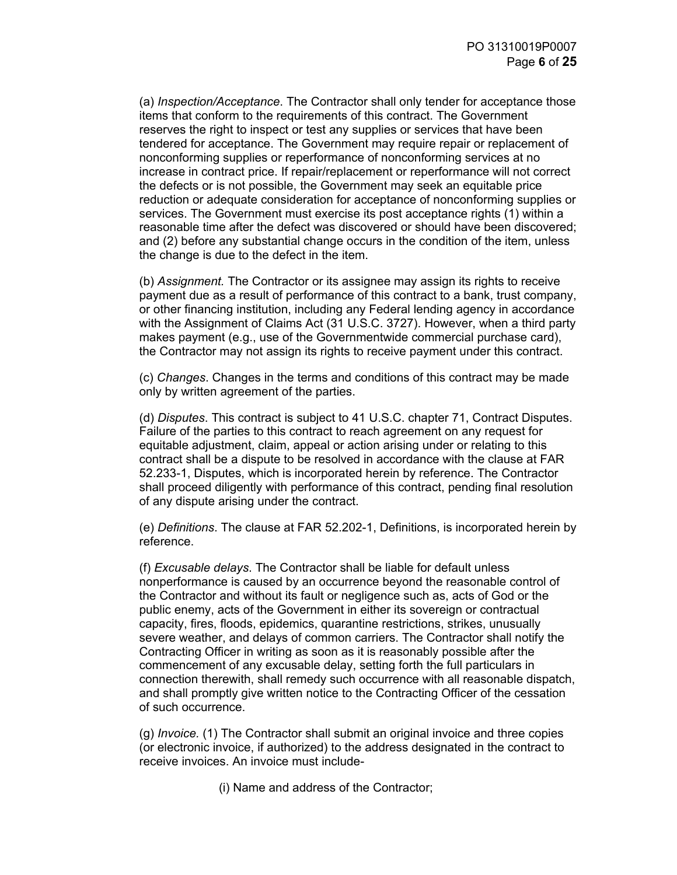(a) *Inspection/Acceptance*. The Contractor shall only tender for acceptance those items that conform to the requirements of this contract. The Government reserves the right to inspect or test any supplies or services that have been tendered for acceptance. The Government may require repair or replacement of nonconforming supplies or reperformance of nonconforming services at no increase in contract price. If repair/replacement or reperformance will not correct the defects or is not possible, the Government may seek an equitable price reduction or adequate consideration for acceptance of nonconforming supplies or services. The Government must exercise its post acceptance rights (1) within a reasonable time after the defect was discovered or should have been discovered; and (2) before any substantial change occurs in the condition of the item, unless the change is due to the defect in the item.

(b) *Assignment.* The Contractor or its assignee may assign its rights to receive payment due as a result of performance of this contract to a bank, trust company, or other financing institution, including any Federal lending agency in accordance with the Assignment of Claims Act (31 U.S.C. 3727). However, when a third party makes payment (e.g., use of the Governmentwide commercial purchase card), the Contractor may not assign its rights to receive payment under this contract.

(c) *Changes*. Changes in the terms and conditions of this contract may be made only by written agreement of the parties.

(d) *Disputes*. This contract is subject to 41 U.S.C. chapter 71, Contract Disputes. Failure of the parties to this contract to reach agreement on any request for equitable adjustment, claim, appeal or action arising under or relating to this contract shall be a dispute to be resolved in accordance with the clause at FAR 52.233-1, Disputes, which is incorporated herein by reference. The Contractor shall proceed diligently with performance of this contract, pending final resolution of any dispute arising under the contract.

(e) *Definitions*. The clause at FAR 52.202-1, Definitions, is incorporated herein by reference.

(f) *Excusable delays*. The Contractor shall be liable for default unless nonperformance is caused by an occurrence beyond the reasonable control of the Contractor and without its fault or negligence such as, acts of God or the public enemy, acts of the Government in either its sovereign or contractual capacity, fires, floods, epidemics, quarantine restrictions, strikes, unusually severe weather, and delays of common carriers. The Contractor shall notify the Contracting Officer in writing as soon as it is reasonably possible after the commencement of any excusable delay, setting forth the full particulars in connection therewith, shall remedy such occurrence with all reasonable dispatch, and shall promptly give written notice to the Contracting Officer of the cessation of such occurrence.

(g) *Invoice.* (1) The Contractor shall submit an original invoice and three copies (or electronic invoice, if authorized) to the address designated in the contract to receive invoices. An invoice must include-

(i) Name and address of the Contractor;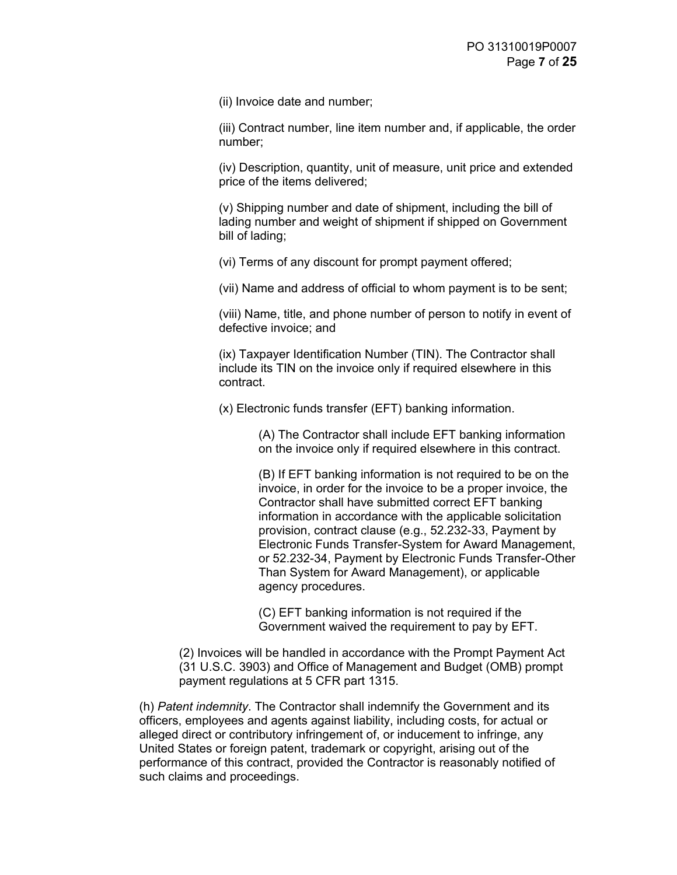(ii) Invoice date and number;

(iii) Contract number, line item number and, if applicable, the order number;

(iv) Description, quantity, unit of measure, unit price and extended price of the items delivered;

(v) Shipping number and date of shipment, including the bill of lading number and weight of shipment if shipped on Government bill of lading;

(vi) Terms of any discount for prompt payment offered;

(vii) Name and address of official to whom payment is to be sent;

(viii) Name, title, and phone number of person to notify in event of defective invoice; and

(ix) Taxpayer Identification Number (TIN). The Contractor shall include its TIN on the invoice only if required elsewhere in this contract.

(x) Electronic funds transfer (EFT) banking information.

(A) The Contractor shall include EFT banking information on the invoice only if required elsewhere in this contract.

(B) If EFT banking information is not required to be on the invoice, in order for the invoice to be a proper invoice, the Contractor shall have submitted correct EFT banking information in accordance with the applicable solicitation provision, contract clause (e.g., 52.232-33, Payment by Electronic Funds Transfer-System for Award Management, or 52.232-34, Payment by Electronic Funds Transfer-Other Than System for Award Management), or applicable agency procedures.

(C) EFT banking information is not required if the Government waived the requirement to pay by EFT.

(2) Invoices will be handled in accordance with the Prompt Payment Act (31 U.S.C. 3903) and Office of Management and Budget (OMB) prompt payment regulations at 5 CFR part 1315.

(h) *Patent indemnity*. The Contractor shall indemnify the Government and its officers, employees and agents against liability, including costs, for actual or alleged direct or contributory infringement of, or inducement to infringe, any United States or foreign patent, trademark or copyright, arising out of the performance of this contract, provided the Contractor is reasonably notified of such claims and proceedings.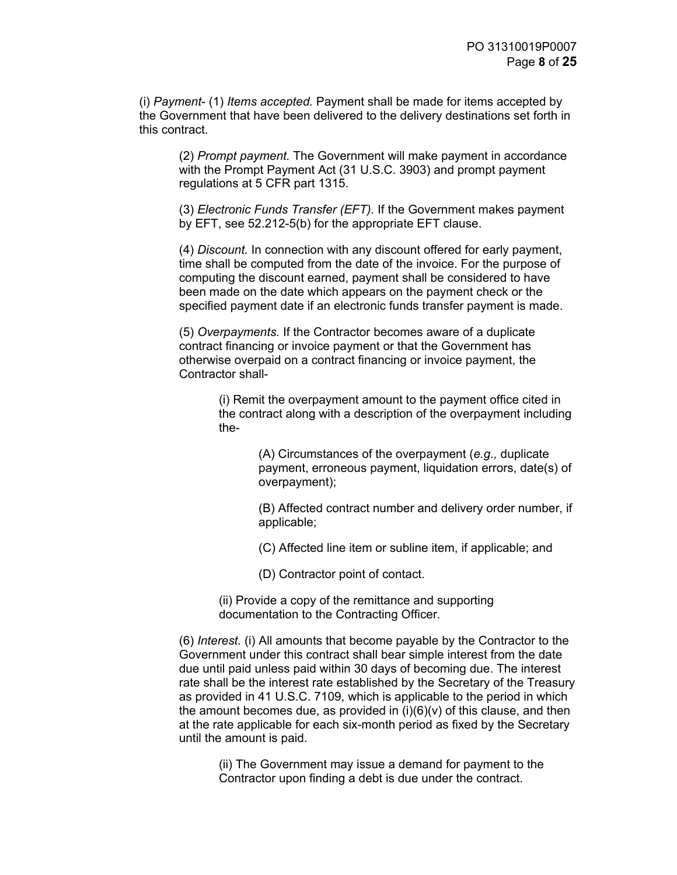(i) *Payment*- (1) *Items accepted.* Payment shall be made for items accepted by the Government that have been delivered to the delivery destinations set forth in this contract.

(2) *Prompt payment.* The Government will make payment in accordance with the Prompt Payment Act (31 U.S.C. 3903) and prompt payment regulations at 5 CFR part 1315.

(3) *Electronic Funds Transfer (EFT).* If the Government makes payment by EFT, see 52.212-5(b) for the appropriate EFT clause.

(4) *Discount.* In connection with any discount offered for early payment, time shall be computed from the date of the invoice. For the purpose of computing the discount earned, payment shall be considered to have been made on the date which appears on the payment check or the specified payment date if an electronic funds transfer payment is made.

(5) *Overpayments.* If the Contractor becomes aware of a duplicate contract financing or invoice payment or that the Government has otherwise overpaid on a contract financing or invoice payment, the Contractor shall-

> (i) Remit the overpayment amount to the payment office cited in the contract along with a description of the overpayment including the-

> > (A) Circumstances of the overpayment (*e.g.,* duplicate payment, erroneous payment, liquidation errors, date(s) of overpayment);

> > (B) Affected contract number and delivery order number, if applicable;

(C) Affected line item or subline item, if applicable; and

(D) Contractor point of contact.

(ii) Provide a copy of the remittance and supporting documentation to the Contracting Officer.

(6) *Interest.* (i) All amounts that become payable by the Contractor to the Government under this contract shall bear simple interest from the date due until paid unless paid within 30 days of becoming due. The interest rate shall be the interest rate established by the Secretary of the Treasury as provided in 41 U.S.C. 7109, which is applicable to the period in which the amount becomes due, as provided in  $(i)(6)(v)$  of this clause, and then at the rate applicable for each six-month period as fixed by the Secretary until the amount is paid.

(ii) The Government may issue a demand for payment to the Contractor upon finding a debt is due under the contract.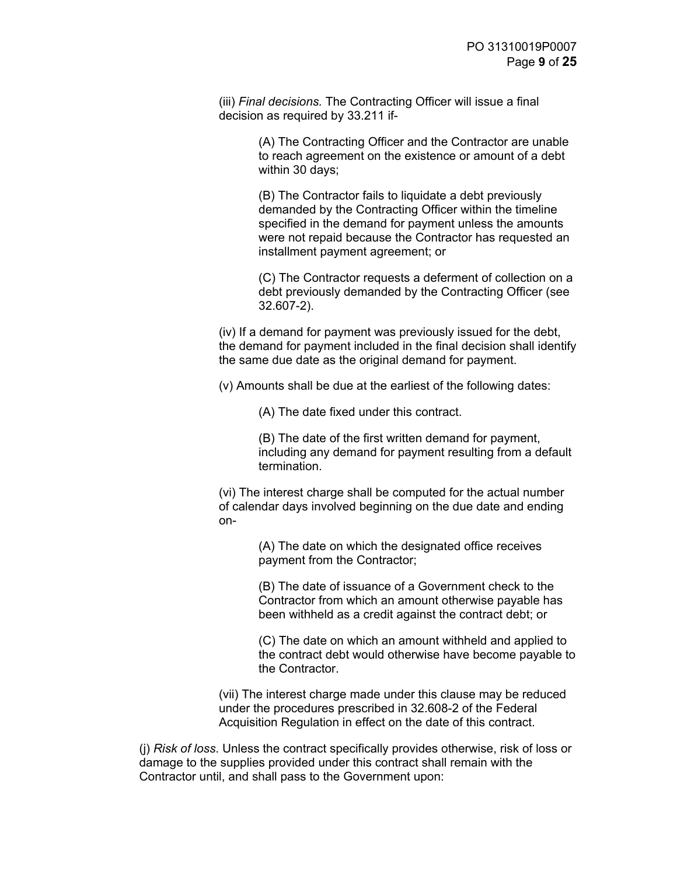(iii) *Final decisions.* The Contracting Officer will issue a final decision as required by 33.211 if-

> (A) The Contracting Officer and the Contractor are unable to reach agreement on the existence or amount of a debt within 30 days;

> (B) The Contractor fails to liquidate a debt previously demanded by the Contracting Officer within the timeline specified in the demand for payment unless the amounts were not repaid because the Contractor has requested an installment payment agreement; or

> (C) The Contractor requests a deferment of collection on a debt previously demanded by the Contracting Officer (see 32.607-2).

(iv) If a demand for payment was previously issued for the debt, the demand for payment included in the final decision shall identify the same due date as the original demand for payment.

(v) Amounts shall be due at the earliest of the following dates:

(A) The date fixed under this contract.

(B) The date of the first written demand for payment, including any demand for payment resulting from a default termination.

(vi) The interest charge shall be computed for the actual number of calendar days involved beginning on the due date and ending on-

> (A) The date on which the designated office receives payment from the Contractor;

(B) The date of issuance of a Government check to the Contractor from which an amount otherwise payable has been withheld as a credit against the contract debt; or

(C) The date on which an amount withheld and applied to the contract debt would otherwise have become payable to the Contractor.

(vii) The interest charge made under this clause may be reduced under the procedures prescribed in 32.608-2 of the Federal Acquisition Regulation in effect on the date of this contract.

(j) *Risk of loss*. Unless the contract specifically provides otherwise, risk of loss or damage to the supplies provided under this contract shall remain with the Contractor until, and shall pass to the Government upon: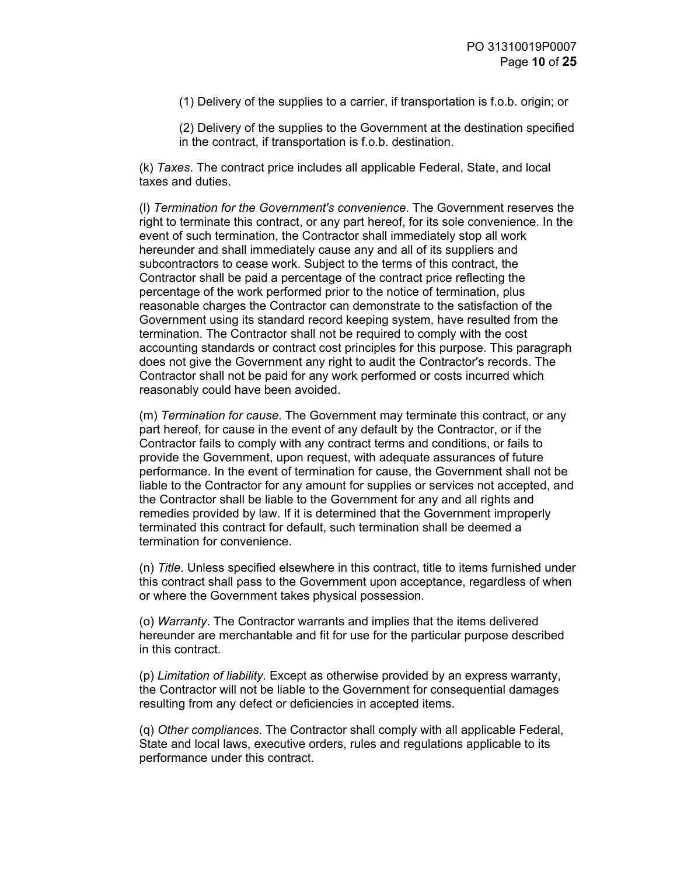(1) Delivery of the supplies to a carrier, if transportation is f.o.b. origin; or

(2) Delivery of the supplies to the Government at the destination specified in the contract, if transportation is f.o.b. destination.

(k) *Taxes*. The contract price includes all applicable Federal, State, and local taxes and duties.

(l) *Termination for the Government's convenience*. The Government reserves the right to terminate this contract, or any part hereof, for its sole convenience. In the event of such termination, the Contractor shall immediately stop all work hereunder and shall immediately cause any and all of its suppliers and subcontractors to cease work. Subject to the terms of this contract, the Contractor shall be paid a percentage of the contract price reflecting the percentage of the work performed prior to the notice of termination, plus reasonable charges the Contractor can demonstrate to the satisfaction of the Government using its standard record keeping system, have resulted from the termination. The Contractor shall not be required to comply with the cost accounting standards or contract cost principles for this purpose. This paragraph does not give the Government any right to audit the Contractor's records. The Contractor shall not be paid for any work performed or costs incurred which reasonably could have been avoided.

(m) *Termination for cause*. The Government may terminate this contract, or any part hereof, for cause in the event of any default by the Contractor, or if the Contractor fails to comply with any contract terms and conditions, or fails to provide the Government, upon request, with adequate assurances of future performance. In the event of termination for cause, the Government shall not be liable to the Contractor for any amount for supplies or services not accepted, and the Contractor shall be liable to the Government for any and all rights and remedies provided by law. If it is determined that the Government improperly terminated this contract for default, such termination shall be deemed a termination for convenience.

(n) *Title*. Unless specified elsewhere in this contract, title to items furnished under this contract shall pass to the Government upon acceptance, regardless of when or where the Government takes physical possession.

(o) *Warranty*. The Contractor warrants and implies that the items delivered hereunder are merchantable and fit for use for the particular purpose described in this contract.

(p) *Limitation of liability*. Except as otherwise provided by an express warranty, the Contractor will not be liable to the Government for consequential damages resulting from any defect or deficiencies in accepted items.

(q) *Other compliances*. The Contractor shall comply with all applicable Federal, State and local laws, executive orders, rules and regulations applicable to its performance under this contract.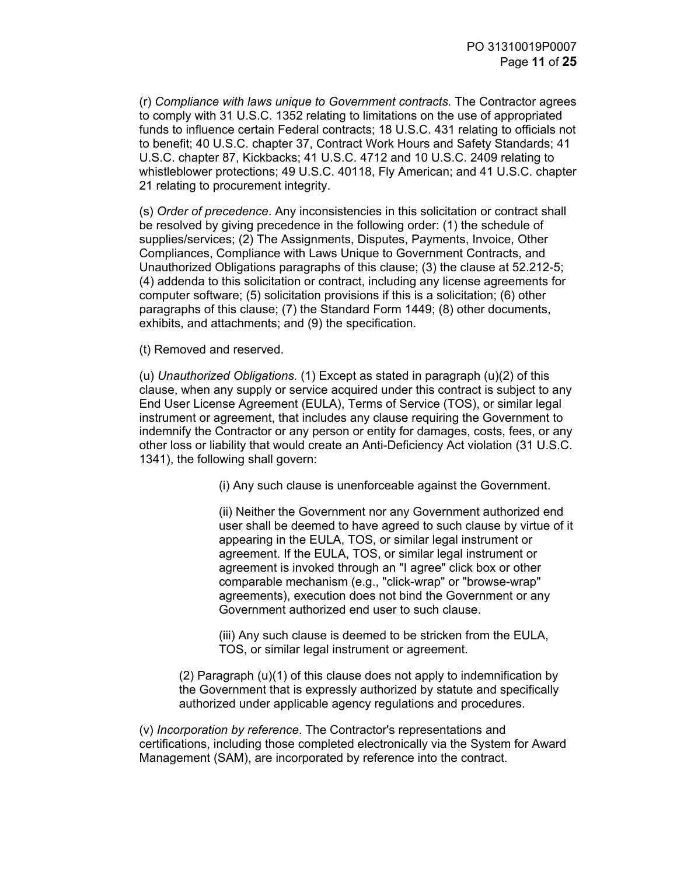(r) *Compliance with laws unique to Government contracts.* The Contractor agrees to comply with 31 U.S.C. 1352 relating to limitations on the use of appropriated funds to influence certain Federal contracts; 18 U.S.C. 431 relating to officials not to benefit; 40 U.S.C. chapter 37, Contract Work Hours and Safety Standards; 41 U.S.C. chapter 87, Kickbacks; 41 U.S.C. 4712 and 10 U.S.C. 2409 relating to whistleblower protections; 49 U.S.C. 40118, Fly American; and 41 U.S.C. chapter 21 relating to procurement integrity.

(s) *Order of precedence*. Any inconsistencies in this solicitation or contract shall be resolved by giving precedence in the following order: (1) the schedule of supplies/services; (2) The Assignments, Disputes, Payments, Invoice, Other Compliances, Compliance with Laws Unique to Government Contracts, and Unauthorized Obligations paragraphs of this clause; (3) the clause at 52.212-5; (4) addenda to this solicitation or contract, including any license agreements for computer software; (5) solicitation provisions if this is a solicitation; (6) other paragraphs of this clause; (7) the Standard Form 1449; (8) other documents, exhibits, and attachments; and (9) the specification.

(t) Removed and reserved.

(u) *Unauthorized Obligations.* (1) Except as stated in paragraph (u)(2) of this clause, when any supply or service acquired under this contract is subject to any End User License Agreement (EULA), Terms of Service (TOS), or similar legal instrument or agreement, that includes any clause requiring the Government to indemnify the Contractor or any person or entity for damages, costs, fees, or any other loss or liability that would create an Anti-Deficiency Act violation (31 U.S.C. 1341), the following shall govern:

(i) Any such clause is unenforceable against the Government.

(ii) Neither the Government nor any Government authorized end user shall be deemed to have agreed to such clause by virtue of it appearing in the EULA, TOS, or similar legal instrument or agreement. If the EULA, TOS, or similar legal instrument or agreement is invoked through an "I agree" click box or other comparable mechanism (e.g., "click-wrap" or "browse-wrap" agreements), execution does not bind the Government or any Government authorized end user to such clause.

(iii) Any such clause is deemed to be stricken from the EULA, TOS, or similar legal instrument or agreement.

(2) Paragraph (u)(1) of this clause does not apply to indemnification by the Government that is expressly authorized by statute and specifically authorized under applicable agency regulations and procedures.

(v) *Incorporation by reference*. The Contractor's representations and certifications, including those completed electronically via the System for Award Management (SAM), are incorporated by reference into the contract.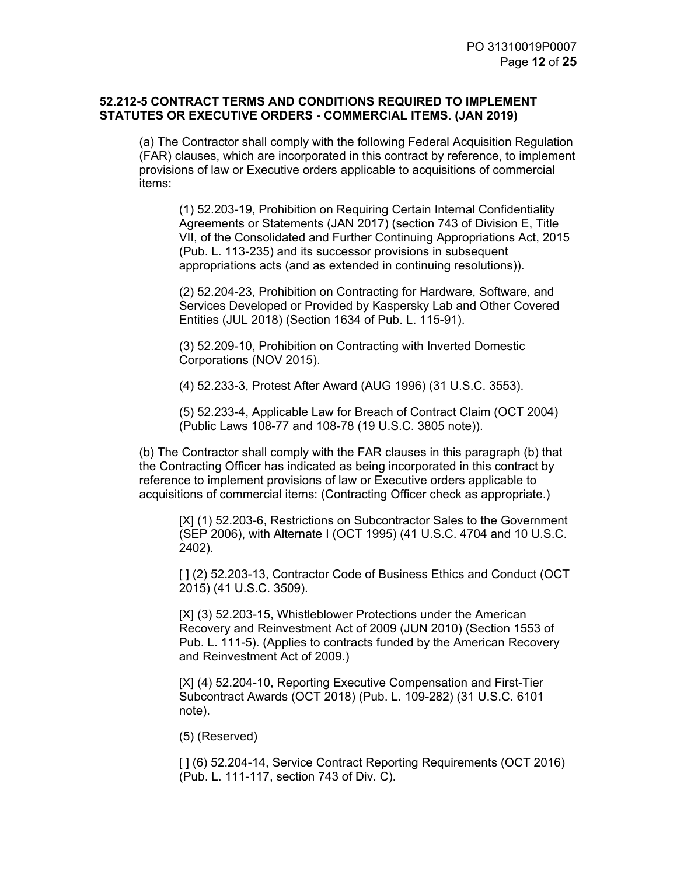### **52.212-5 CONTRACT TERMS AND CONDITIONS REQUIRED TO IMPLEMENT STATUTES OR EXECUTIVE ORDERS - COMMERCIAL ITEMS. (JAN 2019)**

(a) The Contractor shall comply with the following Federal Acquisition Regulation (FAR) clauses, which are incorporated in this contract by reference, to implement provisions of law or Executive orders applicable to acquisitions of commercial items:

(1) 52.203-19, Prohibition on Requiring Certain Internal Confidentiality Agreements or Statements (JAN 2017) (section 743 of Division E, Title VII, of the Consolidated and Further Continuing Appropriations Act, 2015 (Pub. L. 113-235) and its successor provisions in subsequent appropriations acts (and as extended in continuing resolutions)).

(2) 52.204-23, Prohibition on Contracting for Hardware, Software, and Services Developed or Provided by Kaspersky Lab and Other Covered Entities (JUL 2018) (Section 1634 of Pub. L. 115-91).

(3) 52.209-10, Prohibition on Contracting with Inverted Domestic Corporations (NOV 2015).

(4) 52.233-3, Protest After Award (AUG 1996) (31 U.S.C. 3553).

(5) 52.233-4, Applicable Law for Breach of Contract Claim (OCT 2004) (Public Laws 108-77 and 108-78 (19 U.S.C. 3805 note)).

(b) The Contractor shall comply with the FAR clauses in this paragraph (b) that the Contracting Officer has indicated as being incorporated in this contract by reference to implement provisions of law or Executive orders applicable to acquisitions of commercial items: (Contracting Officer check as appropriate.)

[X] (1) 52.203-6, Restrictions on Subcontractor Sales to the Government (SEP 2006), with Alternate I (OCT 1995) (41 U.S.C. 4704 and 10 U.S.C. 2402).

[ ] (2) 52.203-13, Contractor Code of Business Ethics and Conduct (OCT 2015) (41 U.S.C. 3509).

[X] (3) 52.203-15, Whistleblower Protections under the American Recovery and Reinvestment Act of 2009 (JUN 2010) (Section 1553 of Pub. L. 111-5). (Applies to contracts funded by the American Recovery and Reinvestment Act of 2009.)

[X] (4) 52.204-10, Reporting Executive Compensation and First-Tier Subcontract Awards (OCT 2018) (Pub. L. 109-282) (31 U.S.C. 6101 note).

(5) (Reserved)

[ ] (6) 52.204-14, Service Contract Reporting Requirements (OCT 2016) (Pub. L. 111-117, section 743 of Div. C).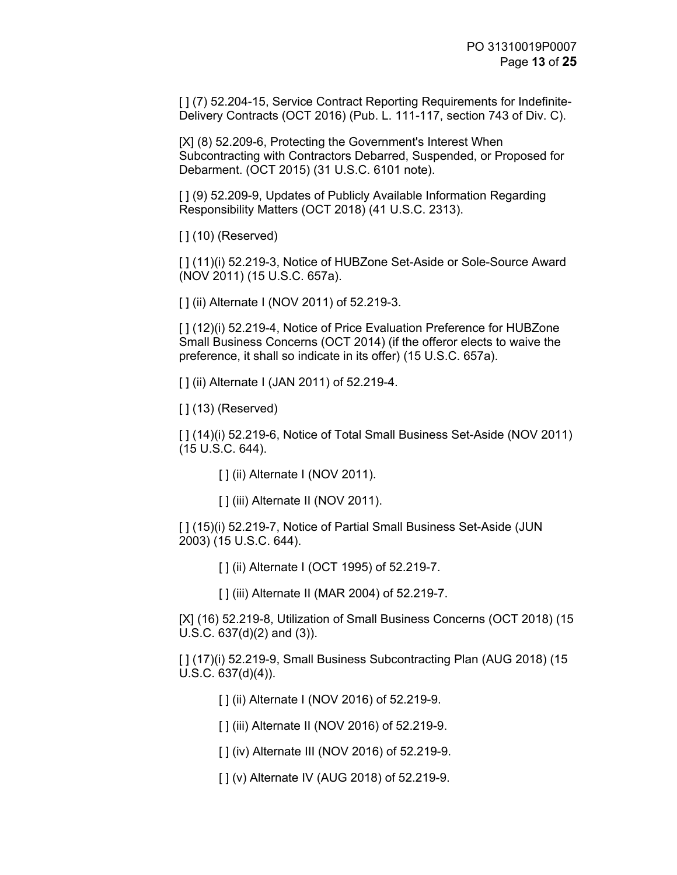[ ] (7) 52.204-15, Service Contract Reporting Requirements for Indefinite-Delivery Contracts (OCT 2016) (Pub. L. 111-117, section 743 of Div. C).

[X] (8) 52.209-6, Protecting the Government's Interest When Subcontracting with Contractors Debarred, Suspended, or Proposed for Debarment. (OCT 2015) (31 U.S.C. 6101 note).

[1(9) 52.209-9, Updates of Publicly Available Information Regarding Responsibility Matters (OCT 2018) (41 U.S.C. 2313).

[ ] (10) (Reserved)

[1(11)(i) 52.219-3, Notice of HUBZone Set-Aside or Sole-Source Award (NOV 2011) (15 U.S.C. 657a).

[ ] (ii) Alternate I (NOV 2011) of 52.219-3.

[] (12)(i) 52.219-4, Notice of Price Evaluation Preference for HUBZone Small Business Concerns (OCT 2014) (if the offeror elects to waive the preference, it shall so indicate in its offer) (15 U.S.C. 657a).

[ ] (ii) Alternate I (JAN 2011) of 52.219-4.

[ ] (13) (Reserved)

[ ] (14)(i) 52.219-6, Notice of Total Small Business Set-Aside (NOV 2011) (15 U.S.C. 644).

[ ] (ii) Alternate I (NOV 2011).

[ ] (iii) Alternate II (NOV 2011).

[ ] (15)(i) 52.219-7, Notice of Partial Small Business Set-Aside (JUN 2003) (15 U.S.C. 644).

[ ] (ii) Alternate I (OCT 1995) of 52.219-7.

[ ] (iii) Alternate II (MAR 2004) of 52.219-7.

[X] (16) 52.219-8, Utilization of Small Business Concerns (OCT 2018) (15 U.S.C. 637(d)(2) and (3)).

[] (17)(i) 52.219-9, Small Business Subcontracting Plan (AUG 2018) (15 U.S.C. 637(d)(4)).

[ ] (ii) Alternate I (NOV 2016) of 52.219-9.

[ ] (iii) Alternate II (NOV 2016) of 52.219-9.

[ ] (iv) Alternate III (NOV 2016) of 52.219-9.

[ ] (v) Alternate IV (AUG 2018) of 52.219-9.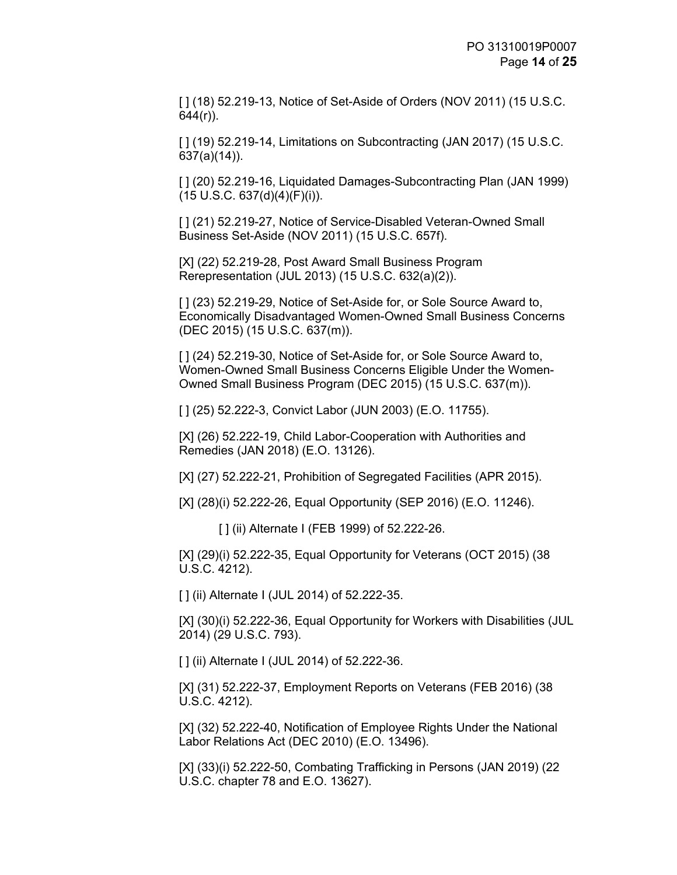[ ] (18) 52.219-13, Notice of Set-Aside of Orders (NOV 2011) (15 U.S.C.  $644(r)$ ).

[ ] (19) 52.219-14, Limitations on Subcontracting (JAN 2017) (15 U.S.C. 637(a)(14)).

[] (20) 52.219-16, Liquidated Damages-Subcontracting Plan (JAN 1999) (15 U.S.C. 637(d)(4)(F)(i)).

[1(21) 52.219-27, Notice of Service-Disabled Veteran-Owned Small Business Set-Aside (NOV 2011) (15 U.S.C. 657f).

[X] (22) 52.219-28, Post Award Small Business Program Rerepresentation (JUL 2013) (15 U.S.C. 632(a)(2)).

[1(23) 52.219-29, Notice of Set-Aside for, or Sole Source Award to, Economically Disadvantaged Women-Owned Small Business Concerns (DEC 2015) (15 U.S.C. 637(m)).

[] (24) 52.219-30, Notice of Set-Aside for, or Sole Source Award to, Women-Owned Small Business Concerns Eligible Under the Women-Owned Small Business Program (DEC 2015) (15 U.S.C. 637(m)).

[ ] (25) 52.222-3, Convict Labor (JUN 2003) (E.O. 11755).

[X] (26) 52.222-19, Child Labor-Cooperation with Authorities and Remedies (JAN 2018) (E.O. 13126).

[X] (27) 52.222-21, Prohibition of Segregated Facilities (APR 2015).

[X] (28)(i) 52.222-26, Equal Opportunity (SEP 2016) (E.O. 11246).

[ ] (ii) Alternate I (FEB 1999) of 52.222-26.

[X] (29)(i) 52.222-35, Equal Opportunity for Veterans (OCT 2015) (38 U.S.C. 4212).

[ ] (ii) Alternate I (JUL 2014) of 52.222-35.

[X] (30)(i) 52.222-36, Equal Opportunity for Workers with Disabilities (JUL 2014) (29 U.S.C. 793).

[ ] (ii) Alternate I (JUL 2014) of 52.222-36.

[X] (31) 52.222-37, Employment Reports on Veterans (FEB 2016) (38 U.S.C. 4212).

[X] (32) 52.222-40, Notification of Employee Rights Under the National Labor Relations Act (DEC 2010) (E.O. 13496).

[X] (33)(i) 52.222-50, Combating Trafficking in Persons (JAN 2019) (22 U.S.C. chapter 78 and E.O. 13627).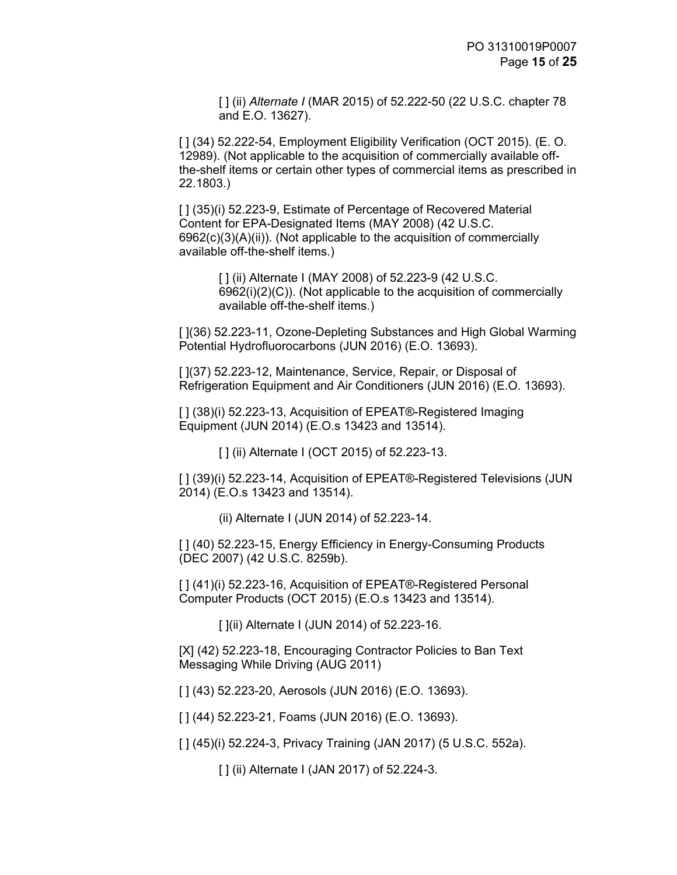[ ] (ii) *Alternate I* (MAR 2015) of 52.222-50 (22 U.S.C. chapter 78 and E.O. 13627).

[1(34) 52.222-54, Employment Eligibility Verification (OCT 2015). (E. O. 12989). (Not applicable to the acquisition of commercially available offthe-shelf items or certain other types of commercial items as prescribed in 22.1803.)

[1(35)(i) 52.223-9, Estimate of Percentage of Recovered Material Content for EPA-Designated Items (MAY 2008) (42 U.S.C.  $6962(c)(3)(A)(ii)$ . (Not applicable to the acquisition of commercially available off-the-shelf items.)

> [ ] (ii) Alternate I (MAY 2008) of 52.223-9 (42 U.S.C. 6962(i)(2)(C)). (Not applicable to the acquisition of commercially available off-the-shelf items.)

[ ](36) 52.223-11, Ozone-Depleting Substances and High Global Warming Potential Hydrofluorocarbons (JUN 2016) (E.O. 13693).

[  $1(37)$  52.223-12, Maintenance, Service, Repair, or Disposal of Refrigeration Equipment and Air Conditioners (JUN 2016) (E.O. 13693).

[ ] (38)(i) 52.223-13, Acquisition of EPEAT®-Registered Imaging Equipment (JUN 2014) (E.O.s 13423 and 13514).

[ ] (ii) Alternate I (OCT 2015) of 52.223-13.

[ ] (39)(i) 52.223-14, Acquisition of EPEAT®-Registered Televisions (JUN 2014) (E.O.s 13423 and 13514).

(ii) Alternate I (JUN 2014) of 52.223-14.

[1(40) 52.223-15, Energy Efficiency in Energy-Consuming Products (DEC 2007) (42 U.S.C. 8259b).

[ ] (41)(i) 52.223-16, Acquisition of EPEAT®-Registered Personal Computer Products (OCT 2015) (E.O.s 13423 and 13514).

[ ](ii) Alternate I (JUN 2014) of 52.223-16.

[X] (42) 52.223-18, Encouraging Contractor Policies to Ban Text Messaging While Driving (AUG 2011)

[ ] (43) 52.223-20, Aerosols (JUN 2016) (E.O. 13693).

[ ] (44) 52.223-21, Foams (JUN 2016) (E.O. 13693).

[ ] (45)(i) 52.224-3, Privacy Training (JAN 2017) (5 U.S.C. 552a).

[ ] (ii) Alternate I (JAN 2017) of 52.224-3.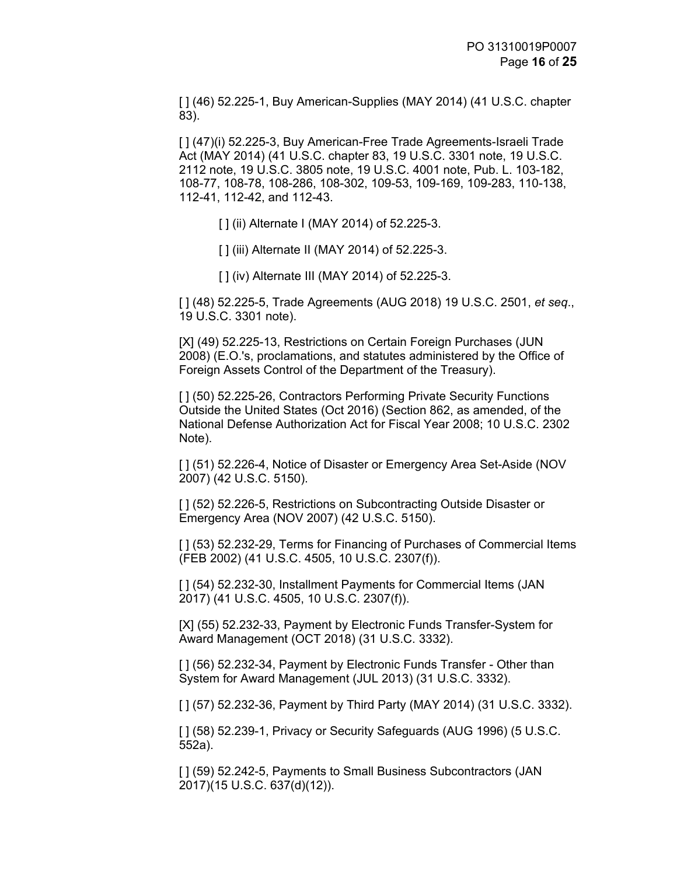[ ] (46) 52.225-1, Buy American-Supplies (MAY 2014) (41 U.S.C. chapter 83).

[ ] (47)(i) 52.225-3, Buy American-Free Trade Agreements-Israeli Trade Act (MAY 2014) (41 U.S.C. chapter 83, 19 U.S.C. 3301 note, 19 U.S.C. 2112 note, 19 U.S.C. 3805 note, 19 U.S.C. 4001 note, Pub. L. 103-182, 108-77, 108-78, 108-286, 108-302, 109-53, 109-169, 109-283, 110-138, 112-41, 112-42, and 112-43.

[ ] (ii) Alternate I (MAY 2014) of 52.225-3.

[ ] (iii) Alternate II (MAY 2014) of 52.225-3.

[ ] (iv) Alternate III (MAY 2014) of 52.225-3.

[ ] (48) 52.225-5, Trade Agreements (AUG 2018) 19 U.S.C. 2501, *et seq*., 19 U.S.C. 3301 note).

[X] (49) 52.225-13, Restrictions on Certain Foreign Purchases (JUN 2008) (E.O.'s, proclamations, and statutes administered by the Office of Foreign Assets Control of the Department of the Treasury).

[ ] (50) 52.225-26, Contractors Performing Private Security Functions Outside the United States (Oct 2016) (Section 862, as amended, of the National Defense Authorization Act for Fiscal Year 2008; 10 U.S.C. 2302 Note).

[ ] (51) 52.226-4, Notice of Disaster or Emergency Area Set-Aside (NOV 2007) (42 U.S.C. 5150).

[1(52) 52.226-5, Restrictions on Subcontracting Outside Disaster or Emergency Area (NOV 2007) (42 U.S.C. 5150).

[ ] (53) 52.232-29, Terms for Financing of Purchases of Commercial Items (FEB 2002) (41 U.S.C. 4505, 10 U.S.C. 2307(f)).

[ ] (54) 52.232-30, Installment Payments for Commercial Items (JAN 2017) (41 U.S.C. 4505, 10 U.S.C. 2307(f)).

[X] (55) 52.232-33, Payment by Electronic Funds Transfer-System for Award Management (OCT 2018) (31 U.S.C. 3332).

[ ] (56) 52.232-34, Payment by Electronic Funds Transfer - Other than System for Award Management (JUL 2013) (31 U.S.C. 3332).

[ ] (57) 52.232-36, Payment by Third Party (MAY 2014) (31 U.S.C. 3332).

[ ] (58) 52.239-1, Privacy or Security Safeguards (AUG 1996) (5 U.S.C. 552a).

[] (59) 52.242-5, Payments to Small Business Subcontractors (JAN 2017)(15 U.S.C. 637(d)(12)).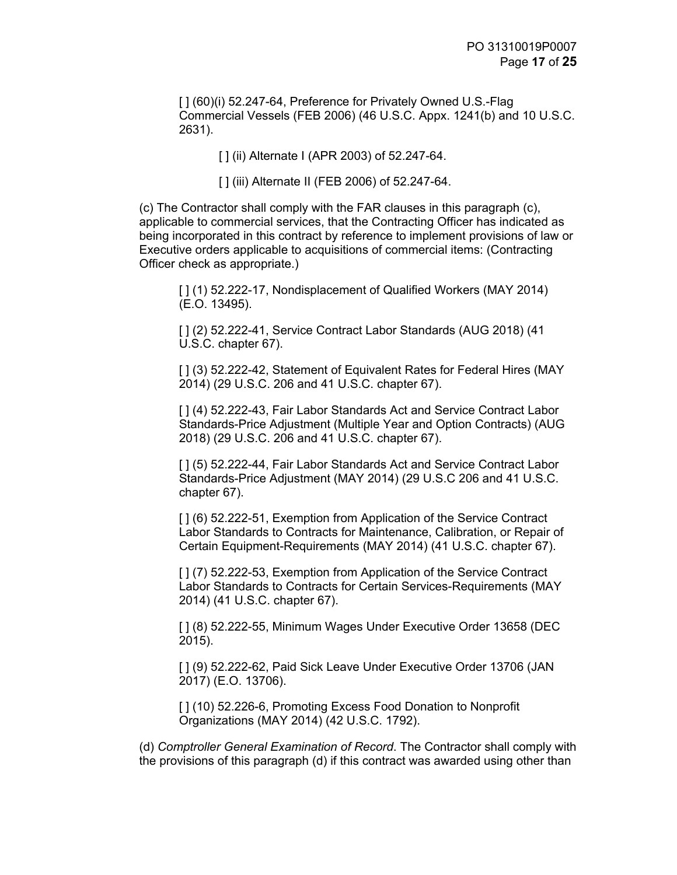[ ] (60)(i) 52.247-64, Preference for Privately Owned U.S.-Flag Commercial Vessels (FEB 2006) (46 U.S.C. Appx. 1241(b) and 10 U.S.C. 2631).

[ ] (ii) Alternate I (APR 2003) of 52.247-64.

[ ] (iii) Alternate II (FEB 2006) of 52.247-64.

(c) The Contractor shall comply with the FAR clauses in this paragraph (c), applicable to commercial services, that the Contracting Officer has indicated as being incorporated in this contract by reference to implement provisions of law or Executive orders applicable to acquisitions of commercial items: (Contracting Officer check as appropriate.)

[1(1) 52.222-17, Nondisplacement of Qualified Workers (MAY 2014) (E.O. 13495).

[ ] (2) 52.222-41, Service Contract Labor Standards (AUG 2018) (41 U.S.C. chapter 67).

[1(3) 52.222-42, Statement of Equivalent Rates for Federal Hires (MAY 2014) (29 U.S.C. 206 and 41 U.S.C. chapter 67).

[1(4) 52.222-43, Fair Labor Standards Act and Service Contract Labor Standards-Price Adjustment (Multiple Year and Option Contracts) (AUG 2018) (29 U.S.C. 206 and 41 U.S.C. chapter 67).

[1(5) 52.222-44, Fair Labor Standards Act and Service Contract Labor Standards-Price Adjustment (MAY 2014) (29 U.S.C 206 and 41 U.S.C. chapter 67).

[1(6) 52.222-51, Exemption from Application of the Service Contract Labor Standards to Contracts for Maintenance, Calibration, or Repair of Certain Equipment-Requirements (MAY 2014) (41 U.S.C. chapter 67).

[1(7) 52.222-53, Exemption from Application of the Service Contract Labor Standards to Contracts for Certain Services-Requirements (MAY 2014) (41 U.S.C. chapter 67).

[ ] (8) 52.222-55, Minimum Wages Under Executive Order 13658 (DEC 2015).

[ ] (9) 52.222-62, Paid Sick Leave Under Executive Order 13706 (JAN 2017) (E.O. 13706).

[1(10) 52.226-6, Promoting Excess Food Donation to Nonprofit Organizations (MAY 2014) (42 U.S.C. 1792).

(d) *Comptroller General Examination of Record*. The Contractor shall comply with the provisions of this paragraph (d) if this contract was awarded using other than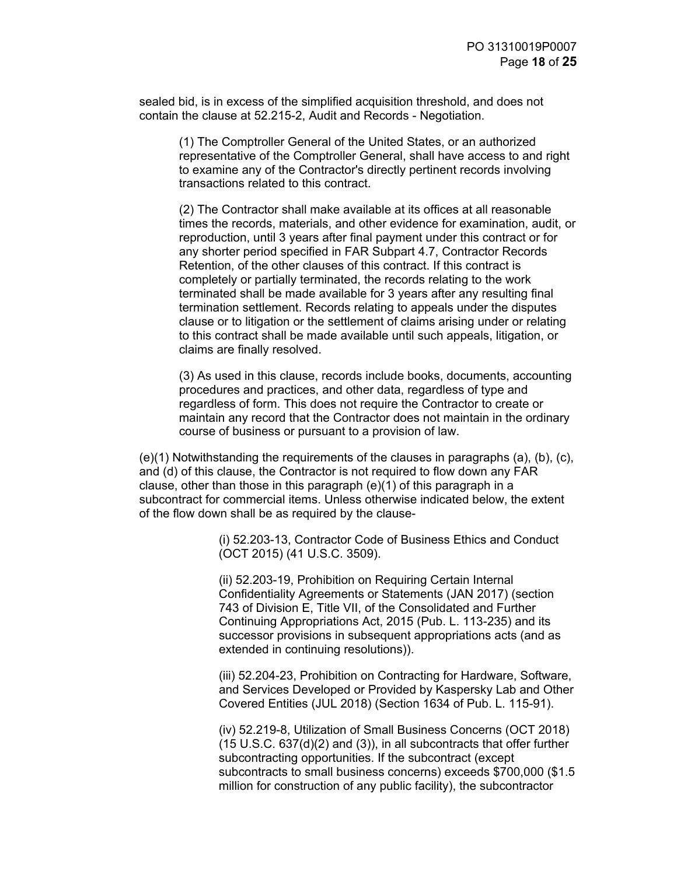sealed bid, is in excess of the simplified acquisition threshold, and does not contain the clause at 52.215-2, Audit and Records - Negotiation.

(1) The Comptroller General of the United States, or an authorized representative of the Comptroller General, shall have access to and right to examine any of the Contractor's directly pertinent records involving transactions related to this contract.

(2) The Contractor shall make available at its offices at all reasonable times the records, materials, and other evidence for examination, audit, or reproduction, until 3 years after final payment under this contract or for any shorter period specified in FAR Subpart 4.7, Contractor Records Retention, of the other clauses of this contract. If this contract is completely or partially terminated, the records relating to the work terminated shall be made available for 3 years after any resulting final termination settlement. Records relating to appeals under the disputes clause or to litigation or the settlement of claims arising under or relating to this contract shall be made available until such appeals, litigation, or claims are finally resolved.

(3) As used in this clause, records include books, documents, accounting procedures and practices, and other data, regardless of type and regardless of form. This does not require the Contractor to create or maintain any record that the Contractor does not maintain in the ordinary course of business or pursuant to a provision of law.

(e)(1) Notwithstanding the requirements of the clauses in paragraphs (a), (b), (c), and (d) of this clause, the Contractor is not required to flow down any FAR clause, other than those in this paragraph (e)(1) of this paragraph in a subcontract for commercial items. Unless otherwise indicated below, the extent of the flow down shall be as required by the clause-

> (i) 52.203-13, Contractor Code of Business Ethics and Conduct (OCT 2015) (41 U.S.C. 3509).

> (ii) 52.203-19, Prohibition on Requiring Certain Internal Confidentiality Agreements or Statements (JAN 2017) (section 743 of Division E, Title VII, of the Consolidated and Further Continuing Appropriations Act, 2015 (Pub. L. 113-235) and its successor provisions in subsequent appropriations acts (and as extended in continuing resolutions)).

(iii) 52.204-23, Prohibition on Contracting for Hardware, Software, and Services Developed or Provided by Kaspersky Lab and Other Covered Entities (JUL 2018) (Section 1634 of Pub. L. 115-91).

(iv) 52.219-8, Utilization of Small Business Concerns (OCT 2018) (15 U.S.C. 637(d)(2) and (3)), in all subcontracts that offer further subcontracting opportunities. If the subcontract (except subcontracts to small business concerns) exceeds \$700,000 (\$1.5 million for construction of any public facility), the subcontractor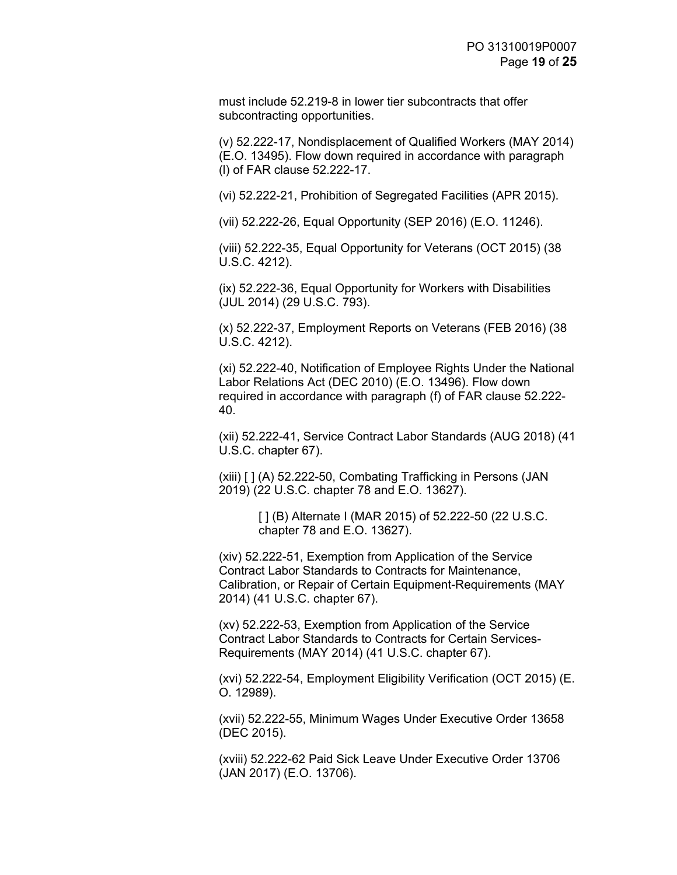must include 52.219-8 in lower tier subcontracts that offer subcontracting opportunities.

(v) 52.222-17, Nondisplacement of Qualified Workers (MAY 2014) (E.O. 13495). Flow down required in accordance with paragraph (l) of FAR clause 52.222-17.

(vi) 52.222-21, Prohibition of Segregated Facilities (APR 2015).

(vii) 52.222-26, Equal Opportunity (SEP 2016) (E.O. 11246).

(viii) 52.222-35, Equal Opportunity for Veterans (OCT 2015) (38 U.S.C. 4212).

(ix) 52.222-36, Equal Opportunity for Workers with Disabilities (JUL 2014) (29 U.S.C. 793).

(x) 52.222-37, Employment Reports on Veterans (FEB 2016) (38 U.S.C. 4212).

(xi) 52.222-40, Notification of Employee Rights Under the National Labor Relations Act (DEC 2010) (E.O. 13496). Flow down required in accordance with paragraph (f) of FAR clause 52.222- 40.

(xii) 52.222-41, Service Contract Labor Standards (AUG 2018) (41 U.S.C. chapter 67).

(xiii) [ ] (A) 52.222-50, Combating Trafficking in Persons (JAN 2019) (22 U.S.C. chapter 78 and E.O. 13627).

> [ ] (B) Alternate I (MAR 2015) of 52.222-50 (22 U.S.C. chapter 78 and E.O. 13627).

(xiv) 52.222-51, Exemption from Application of the Service Contract Labor Standards to Contracts for Maintenance, Calibration, or Repair of Certain Equipment-Requirements (MAY 2014) (41 U.S.C. chapter 67).

(xv) 52.222-53, Exemption from Application of the Service Contract Labor Standards to Contracts for Certain Services-Requirements (MAY 2014) (41 U.S.C. chapter 67).

(xvi) 52.222-54, Employment Eligibility Verification (OCT 2015) (E. O. 12989).

(xvii) 52.222-55, Minimum Wages Under Executive Order 13658 (DEC 2015).

(xviii) 52.222-62 Paid Sick Leave Under Executive Order 13706 (JAN 2017) (E.O. 13706).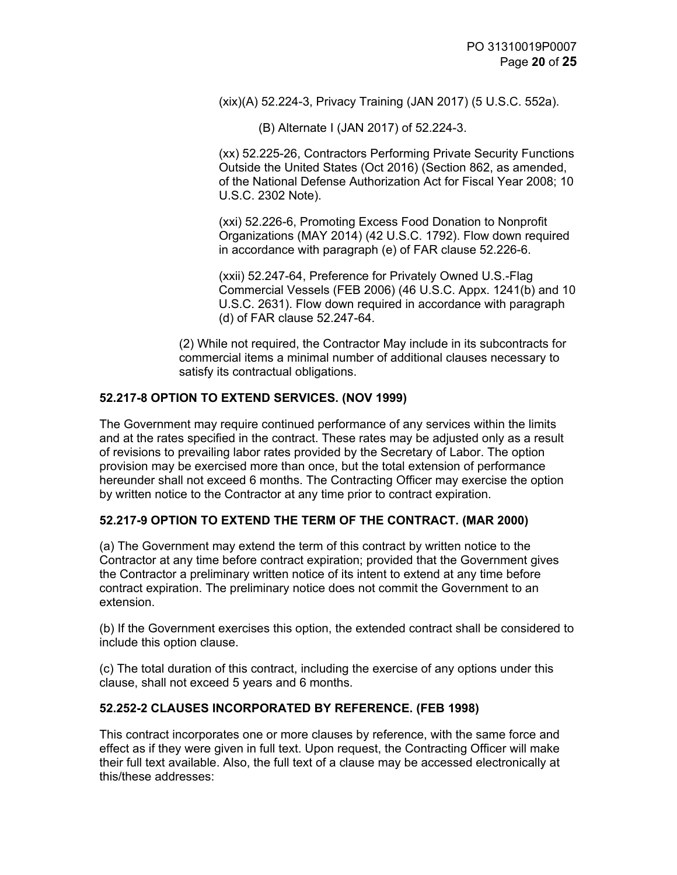(xix)(A) 52.224-3, Privacy Training (JAN 2017) (5 U.S.C. 552a).

(B) Alternate I (JAN 2017) of 52.224-3.

(xx) 52.225-26, Contractors Performing Private Security Functions Outside the United States (Oct 2016) (Section 862, as amended, of the National Defense Authorization Act for Fiscal Year 2008; 10 U.S.C. 2302 Note).

(xxi) 52.226-6, Promoting Excess Food Donation to Nonprofit Organizations (MAY 2014) (42 U.S.C. 1792). Flow down required in accordance with paragraph (e) of FAR clause 52.226-6.

(xxii) 52.247-64, Preference for Privately Owned U.S.-Flag Commercial Vessels (FEB 2006) (46 U.S.C. Appx. 1241(b) and 10 U.S.C. 2631). Flow down required in accordance with paragraph (d) of FAR clause 52.247-64.

(2) While not required, the Contractor May include in its subcontracts for commercial items a minimal number of additional clauses necessary to satisfy its contractual obligations.

# **52.217-8 OPTION TO EXTEND SERVICES. (NOV 1999)**

The Government may require continued performance of any services within the limits and at the rates specified in the contract. These rates may be adjusted only as a result of revisions to prevailing labor rates provided by the Secretary of Labor. The option provision may be exercised more than once, but the total extension of performance hereunder shall not exceed 6 months. The Contracting Officer may exercise the option by written notice to the Contractor at any time prior to contract expiration.

# **52.217-9 OPTION TO EXTEND THE TERM OF THE CONTRACT. (MAR 2000)**

(a) The Government may extend the term of this contract by written notice to the Contractor at any time before contract expiration; provided that the Government gives the Contractor a preliminary written notice of its intent to extend at any time before contract expiration. The preliminary notice does not commit the Government to an extension.

(b) If the Government exercises this option, the extended contract shall be considered to include this option clause.

(c) The total duration of this contract, including the exercise of any options under this clause, shall not exceed 5 years and 6 months.

# **52.252-2 CLAUSES INCORPORATED BY REFERENCE. (FEB 1998)**

This contract incorporates one or more clauses by reference, with the same force and effect as if they were given in full text. Upon request, the Contracting Officer will make their full text available. Also, the full text of a clause may be accessed electronically at this/these addresses: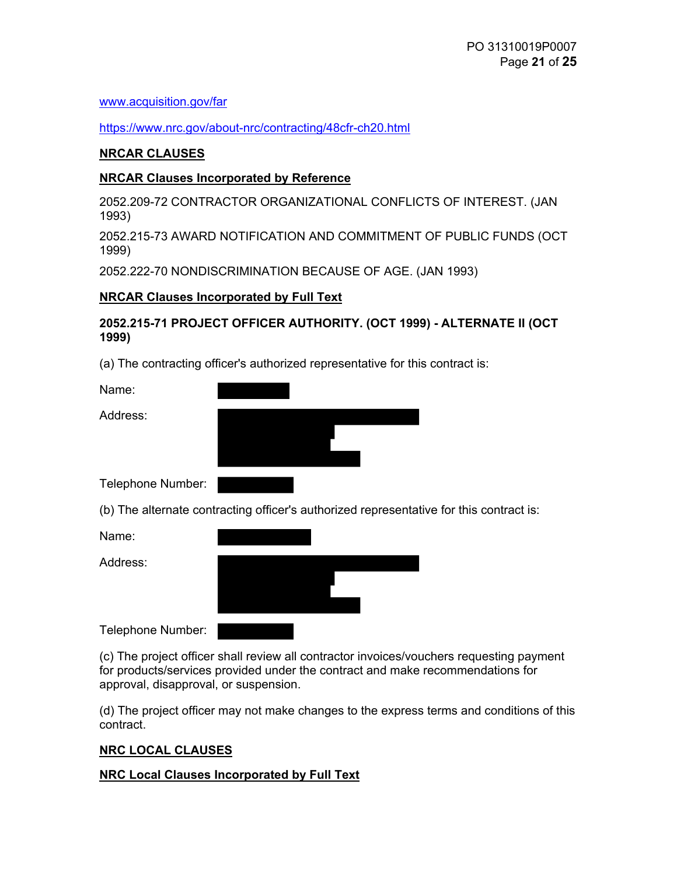[www.acquisition.gov/far](http://www.acquisition.gov/far)

<https://www.nrc.gov/about-nrc/contracting/48cfr-ch20.html>

# **NRCAR CLAUSES**

## **NRCAR Clauses Incorporated by Reference**

2052.209-72 CONTRACTOR ORGANIZATIONAL CONFLICTS OF INTEREST. (JAN 1993)

2052.215-73 AWARD NOTIFICATION AND COMMITMENT OF PUBLIC FUNDS (OCT 1999)

2052.222-70 NONDISCRIMINATION BECAUSE OF AGE. (JAN 1993)

## **NRCAR Clauses Incorporated by Full Text**

# **2052.215-71 PROJECT OFFICER AUTHORITY. (OCT 1999) - ALTERNATE II (OCT 1999)**

(a) The contracting officer's authorized representative for this contract is:

Name:

Address:



Telephone Number:

(b) The alternate contracting officer's authorized representative for this contract is:

Name:

Address:



Telephone Number:

(c) The project officer shall review all contractor invoices/vouchers requesting payment for products/services provided under the contract and make recommendations for approval, disapproval, or suspension.

(d) The project officer may not make changes to the express terms and conditions of this contract.

# **NRC LOCAL CLAUSES**

# **NRC Local Clauses Incorporated by Full Text**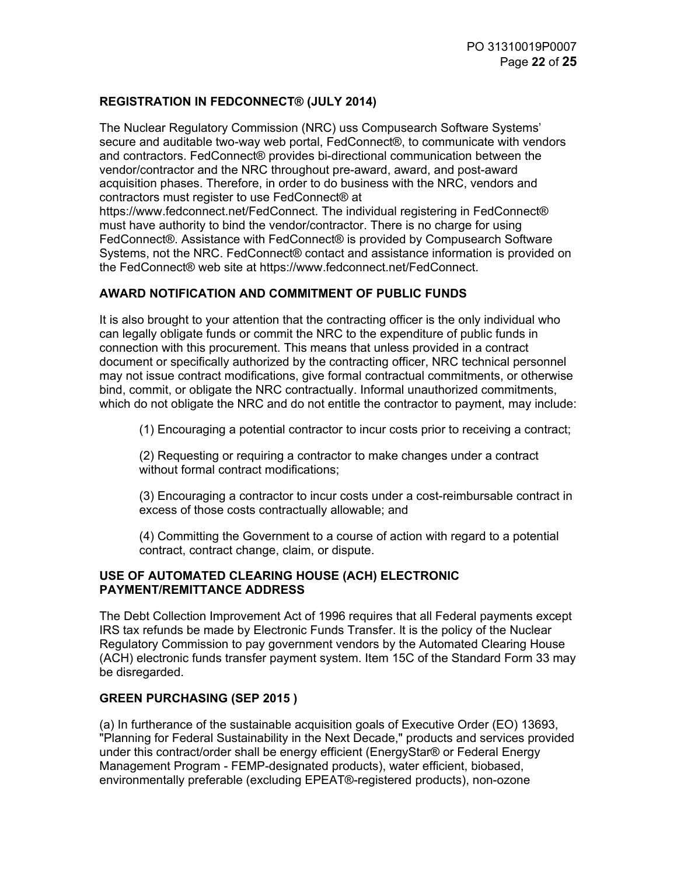# **REGISTRATION IN FEDCONNECT® (JULY 2014)**

The Nuclear Regulatory Commission (NRC) uss Compusearch Software Systems' secure and auditable two-way web portal, FedConnect®, to communicate with vendors and contractors. FedConnect® provides bi-directional communication between the vendor/contractor and the NRC throughout pre-award, award, and post-award acquisition phases. Therefore, in order to do business with the NRC, vendors and contractors must register to use FedConnect® at

https://www.fedconnect.net/FedConnect. The individual registering in FedConnect® must have authority to bind the vendor/contractor. There is no charge for using FedConnect®. Assistance with FedConnect® is provided by Compusearch Software Systems, not the NRC. FedConnect® contact and assistance information is provided on the FedConnect® web site at https://www.fedconnect.net/FedConnect.

## **AWARD NOTIFICATION AND COMMITMENT OF PUBLIC FUNDS**

It is also brought to your attention that the contracting officer is the only individual who can legally obligate funds or commit the NRC to the expenditure of public funds in connection with this procurement. This means that unless provided in a contract document or specifically authorized by the contracting officer, NRC technical personnel may not issue contract modifications, give formal contractual commitments, or otherwise bind, commit, or obligate the NRC contractually. Informal unauthorized commitments, which do not obligate the NRC and do not entitle the contractor to payment, may include:

(1) Encouraging a potential contractor to incur costs prior to receiving a contract;

(2) Requesting or requiring a contractor to make changes under a contract without formal contract modifications;

(3) Encouraging a contractor to incur costs under a cost-reimbursable contract in excess of those costs contractually allowable; and

(4) Committing the Government to a course of action with regard to a potential contract, contract change, claim, or dispute.

## **USE OF AUTOMATED CLEARING HOUSE (ACH) ELECTRONIC PAYMENT/REMITTANCE ADDRESS**

The Debt Collection Improvement Act of 1996 requires that all Federal payments except IRS tax refunds be made by Electronic Funds Transfer. lt is the policy of the Nuclear Regulatory Commission to pay government vendors by the Automated Clearing House (ACH) electronic funds transfer payment system. Item 15C of the Standard Form 33 may be disregarded.

# **GREEN PURCHASING (SEP 2015 )**

(a) In furtherance of the sustainable acquisition goals of Executive Order (EO) 13693, "Planning for Federal Sustainability in the Next Decade," products and services provided under this contract/order shall be energy efficient (EnergyStar® or Federal Energy Management Program - FEMP-designated products), water efficient, biobased, environmentally preferable (excluding EPEAT®-registered products), non-ozone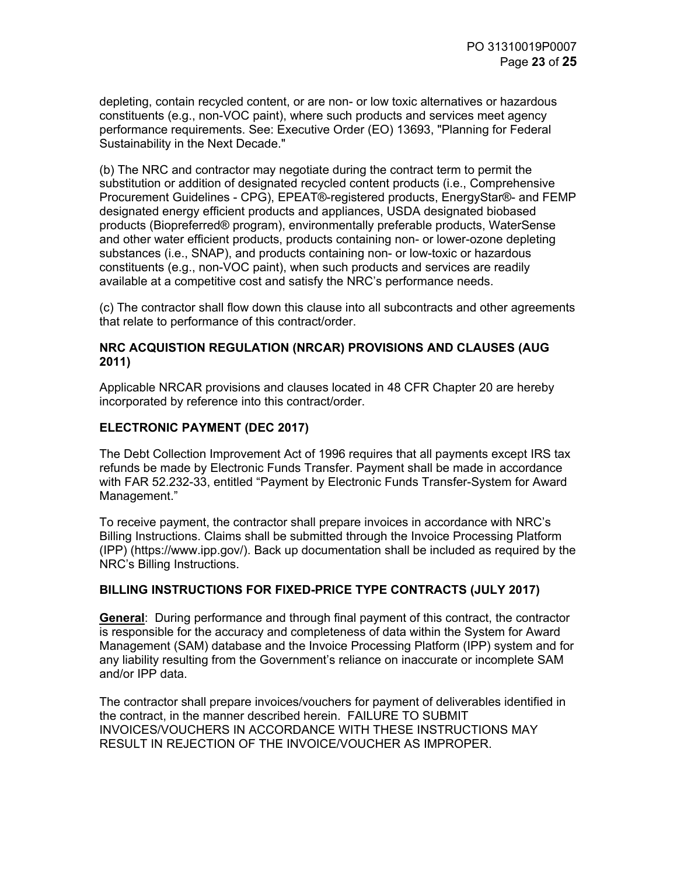depleting, contain recycled content, or are non- or low toxic alternatives or hazardous constituents (e.g., non-VOC paint), where such products and services meet agency performance requirements. See: Executive Order (EO) 13693, "Planning for Federal Sustainability in the Next Decade."

(b) The NRC and contractor may negotiate during the contract term to permit the substitution or addition of designated recycled content products (i.e., Comprehensive Procurement Guidelines - CPG), EPEAT®-registered products, EnergyStar®- and FEMP designated energy efficient products and appliances, USDA designated biobased products (Biopreferred® program), environmentally preferable products, WaterSense and other water efficient products, products containing non- or lower-ozone depleting substances (i.e., SNAP), and products containing non- or low-toxic or hazardous constituents (e.g., non-VOC paint), when such products and services are readily available at a competitive cost and satisfy the NRC's performance needs.

(c) The contractor shall flow down this clause into all subcontracts and other agreements that relate to performance of this contract/order.

### **NRC ACQUISTION REGULATION (NRCAR) PROVISIONS AND CLAUSES (AUG 2011)**

Applicable NRCAR provisions and clauses located in 48 CFR Chapter 20 are hereby incorporated by reference into this contract/order.

## **ELECTRONIC PAYMENT (DEC 2017)**

The Debt Collection Improvement Act of 1996 requires that all payments except IRS tax refunds be made by Electronic Funds Transfer. Payment shall be made in accordance with FAR 52.232-33, entitled "Payment by Electronic Funds Transfer-System for Award Management."

To receive payment, the contractor shall prepare invoices in accordance with NRC's Billing Instructions. Claims shall be submitted through the Invoice Processing Platform (IPP) (https://www.ipp.gov/). Back up documentation shall be included as required by the NRC's Billing Instructions.

### **BILLING INSTRUCTIONS FOR FIXED-PRICE TYPE CONTRACTS (JULY 2017)**

**General**: During performance and through final payment of this contract, the contractor is responsible for the accuracy and completeness of data within the System for Award Management (SAM) database and the Invoice Processing Platform (IPP) system and for any liability resulting from the Government's reliance on inaccurate or incomplete SAM and/or IPP data.

The contractor shall prepare invoices/vouchers for payment of deliverables identified in the contract, in the manner described herein. FAILURE TO SUBMIT INVOICES/VOUCHERS IN ACCORDANCE WITH THESE INSTRUCTIONS MAY RESULT IN REJECTION OF THE INVOICE/VOUCHER AS IMPROPER.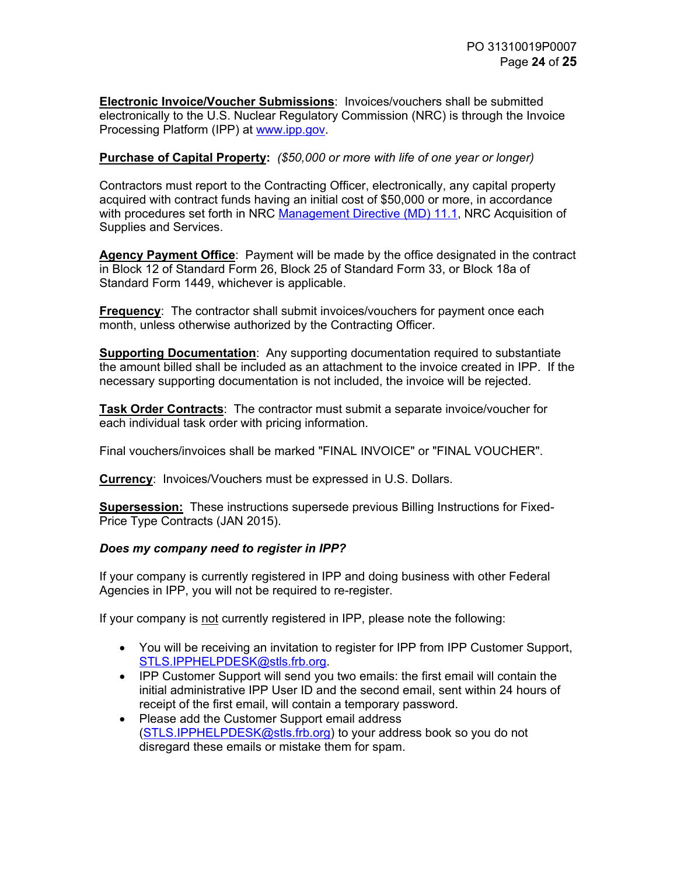**Electronic Invoice/Voucher Submissions**: Invoices/vouchers shall be submitted electronically to the U.S. Nuclear Regulatory Commission (NRC) is through the Invoice Processing Platform (IPP) at [www.ipp.gov](http://www.ipp.gov/).

## **Purchase of Capital Property:** *(\$50,000 or more with life of one year or longer)*

Contractors must report to the Contracting Officer, electronically, any capital property acquired with contract funds having an initial cost of \$50,000 or more, in accordance with procedures set forth in NRC [Management](https://www.nrc.gov/docs/ML1332/ML13322B277.pdf) Directive (MD) 11.1, NRC Acquisition of Supplies and Services.

**Agency Payment Office**: Payment will be made by the office designated in the contract in Block 12 of Standard Form 26, Block 25 of Standard Form 33, or Block 18a of Standard Form 1449, whichever is applicable.

**Frequency**: The contractor shall submit invoices/vouchers for payment once each month, unless otherwise authorized by the Contracting Officer.

**Supporting Documentation**: Any supporting documentation required to substantiate the amount billed shall be included as an attachment to the invoice created in IPP. If the necessary supporting documentation is not included, the invoice will be rejected.

**Task Order Contracts**: The contractor must submit a separate invoice/voucher for each individual task order with pricing information.

Final vouchers/invoices shall be marked "FINAL INVOICE" or "FINAL VOUCHER".

**Currency**: Invoices/Vouchers must be expressed in U.S. Dollars.

**Supersession:** These instructions supersede previous Billing Instructions for Fixed-Price Type Contracts (JAN 2015).

### *Does my company need to register in IPP?*

If your company is currently registered in IPP and doing business with other Federal Agencies in IPP, you will not be required to re-register.

If your company is not currently registered in IPP, please note the following:

- You will be receiving an invitation to register for IPP from IPP Customer Support, [STLS.IPPHELPDESK@stls.frb.org.](mailto:STLS.IPPHELPDESK@stls.frb.org)
- IPP Customer Support will send you two emails: the first email will contain the initial administrative IPP User ID and the second email, sent within 24 hours of receipt of the first email, will contain a temporary password.
- Please add the Customer Support email address ([STLS.IPPHELPDESK@stls.frb.org\)](mailto:STLS.IPPHELPDESK@stls.frb.org) to your address book so you do not disregard these emails or mistake them for spam.